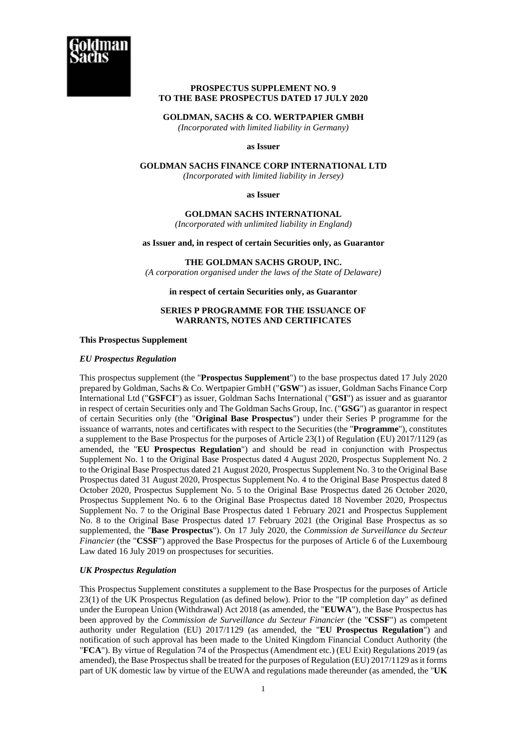

# **PROSPECTUS SUPPLEMENT NO. 9 TO THE BASE PROSPECTUS DATED 17 JULY 2020**

**GOLDMAN, SACHS & CO. WERTPAPIER GMBH** 

*(Incorporated with limited liability in Germany)* 

### **as Issuer**

**GOLDMAN SACHS FINANCE CORP INTERNATIONAL LTD** 

*(Incorporated with limited liability in Jersey)*

**as Issuer** 

**GOLDMAN SACHS INTERNATIONAL** 

*(Incorporated with unlimited liability in England)*

**as Issuer and, in respect of certain Securities only, as Guarantor** 

**THE GOLDMAN SACHS GROUP, INC.** 

*(A corporation organised under the laws of the State of Delaware)*

**in respect of certain Securities only, as Guarantor** 

## **SERIES P PROGRAMME FOR THE ISSUANCE OF WARRANTS, NOTES AND CERTIFICATES**

**This Prospectus Supplement** 

# *EU Prospectus Regulation*

This prospectus supplement (the "**Prospectus Supplement**") to the base prospectus dated 17 July 2020 prepared by Goldman, Sachs & Co. Wertpapier GmbH ("**GSW**") as issuer, Goldman Sachs Finance Corp International Ltd ("**GSFCI**") as issuer, Goldman Sachs International ("**GSI**") as issuer and as guarantor in respect of certain Securities only and The Goldman Sachs Group, Inc. ("**GSG**") as guarantor in respect of certain Securities only (the "**Original Base Prospectus**") under their Series P programme for the issuance of warrants, notes and certificates with respect to the Securities (the "**Programme**"), constitutes a supplement to the Base Prospectus for the purposes of Article 23(1) of Regulation (EU) 2017/1129 (as amended, the "**EU Prospectus Regulation**") and should be read in conjunction with Prospectus Supplement No. 1 to the Original Base Prospectus dated 4 August 2020, Prospectus Supplement No. 2 to the Original Base Prospectus dated 21 August 2020, Prospectus Supplement No. 3 to the Original Base Prospectus dated 31 August 2020, Prospectus Supplement No. 4 to the Original Base Prospectus dated 8 October 2020, Prospectus Supplement No. 5 to the Original Base Prospectus dated 26 October 2020, Prospectus Supplement No. 6 to the Original Base Prospectus dated 18 November 2020, Prospectus Supplement No. 7 to the Original Base Prospectus dated 1 February 2021 and Prospectus Supplement No. 8 to the Original Base Prospectus dated 17 February 2021 (the Original Base Prospectus as so supplemented, the "**Base Prospectus**"). On 17 July 2020, the *Commission de Surveillance du Secteur Financier* (the "**CSSF**") approved the Base Prospectus for the purposes of Article 6 of the Luxembourg Law dated 16 July 2019 on prospectuses for securities.

# *UK Prospectus Regulation*

This Prospectus Supplement constitutes a supplement to the Base Prospectus for the purposes of Article 23(1) of the UK Prospectus Regulation (as defined below). Prior to the "IP completion day" as defined under the European Union (Withdrawal) Act 2018 (as amended, the "**EUWA**"), the Base Prospectus has been approved by the *Commission de Surveillance du Secteur Financier* (the "**CSSF**") as competent authority under Regulation (EU) 2017/1129 (as amended, the "**EU Prospectus Regulation**") and notification of such approval has been made to the United Kingdom Financial Conduct Authority (the "**FCA**"). By virtue of Regulation 74 of the Prospectus (Amendment etc.) (EU Exit) Regulations 2019 (as amended), the Base Prospectus shall be treated for the purposes of Regulation (EU) 2017/1129 as it forms part of UK domestic law by virtue of the EUWA and regulations made thereunder (as amended, the "**UK**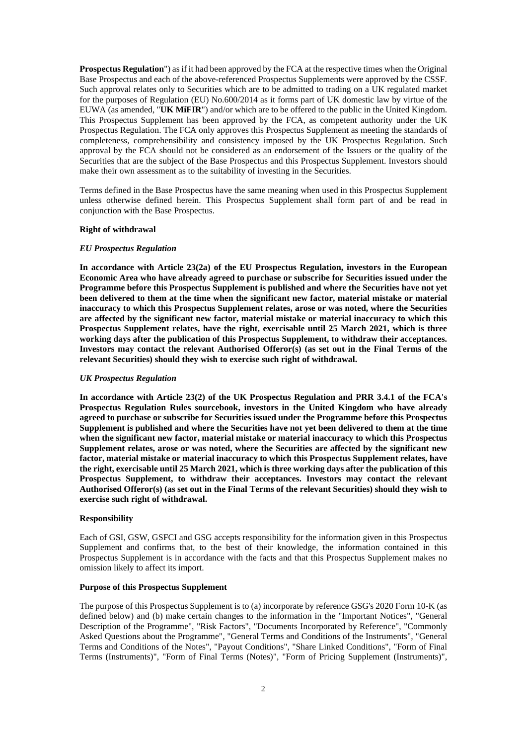**Prospectus Regulation**") as if it had been approved by the FCA at the respective times when the Original Base Prospectus and each of the above-referenced Prospectus Supplements were approved by the CSSF. Such approval relates only to Securities which are to be admitted to trading on a UK regulated market for the purposes of Regulation (EU) No.600/2014 as it forms part of UK domestic law by virtue of the EUWA (as amended, "**UK MiFIR**") and/or which are to be offered to the public in the United Kingdom. This Prospectus Supplement has been approved by the FCA, as competent authority under the UK Prospectus Regulation. The FCA only approves this Prospectus Supplement as meeting the standards of completeness, comprehensibility and consistency imposed by the UK Prospectus Regulation. Such approval by the FCA should not be considered as an endorsement of the Issuers or the quality of the Securities that are the subject of the Base Prospectus and this Prospectus Supplement. Investors should make their own assessment as to the suitability of investing in the Securities.

Terms defined in the Base Prospectus have the same meaning when used in this Prospectus Supplement unless otherwise defined herein. This Prospectus Supplement shall form part of and be read in conjunction with the Base Prospectus.

### **Right of withdrawal**

### *EU Prospectus Regulation*

**In accordance with Article 23(2a) of the EU Prospectus Regulation, investors in the European Economic Area who have already agreed to purchase or subscribe for Securities issued under the Programme before this Prospectus Supplement is published and where the Securities have not yet been delivered to them at the time when the significant new factor, material mistake or material inaccuracy to which this Prospectus Supplement relates, arose or was noted, where the Securities are affected by the significant new factor, material mistake or material inaccuracy to which this Prospectus Supplement relates, have the right, exercisable until 25 March 2021, which is three working days after the publication of this Prospectus Supplement, to withdraw their acceptances.**  Investors may contact the relevant Authorised Offeror(s) (as set out in the Final Terms of the **relevant Securities) should they wish to exercise such right of withdrawal.** 

#### *UK Prospectus Regulation*

**In accordance with Article 23(2) of the UK Prospectus Regulation and PRR 3.4.1 of the FCA's Prospectus Regulation Rules sourcebook, investors in the United Kingdom who have already agreed to purchase or subscribe for Securities issued under the Programme before this Prospectus Supplement is published and where the Securities have not yet been delivered to them at the time when the significant new factor, material mistake or material inaccuracy to which this Prospectus Supplement relates, arose or was noted, where the Securities are affected by the significant new factor, material mistake or material inaccuracy to which this Prospectus Supplement relates, have the right, exercisable until 25 March 2021, which is three working days after the publication of this Prospectus Supplement, to withdraw their acceptances. Investors may contact the relevant Authorised Offeror(s) (as set out in the Final Terms of the relevant Securities) should they wish to exercise such right of withdrawal.** 

#### **Responsibility**

Each of GSI, GSW, GSFCI and GSG accepts responsibility for the information given in this Prospectus Supplement and confirms that, to the best of their knowledge, the information contained in this Prospectus Supplement is in accordance with the facts and that this Prospectus Supplement makes no omission likely to affect its import.

### **Purpose of this Prospectus Supplement**

The purpose of this Prospectus Supplement is to (a) incorporate by reference GSG's 2020 Form 10-K (as defined below) and (b) make certain changes to the information in the "Important Notices", "General Description of the Programme", "Risk Factors", "Documents Incorporated by Reference", "Commonly Asked Questions about the Programme", "General Terms and Conditions of the Instruments", "General Terms and Conditions of the Notes", "Payout Conditions", "Share Linked Conditions", "Form of Final Terms (Instruments)", "Form of Final Terms (Notes)", "Form of Pricing Supplement (Instruments)",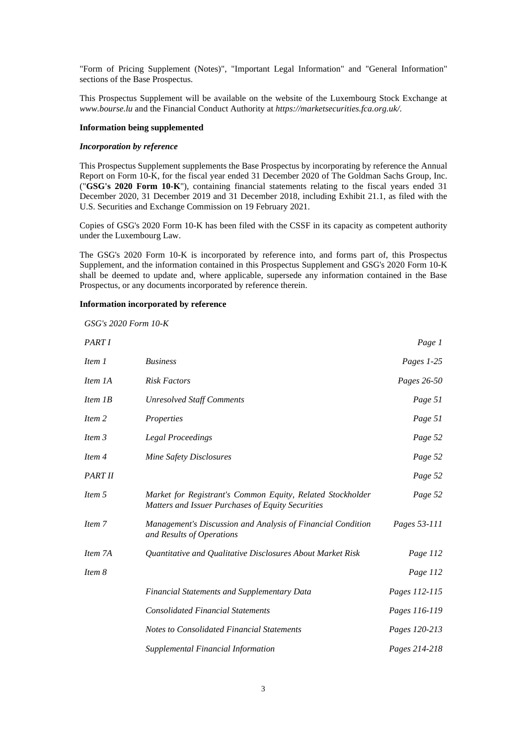"Form of Pricing Supplement (Notes)", "Important Legal Information" and "General Information" sections of the Base Prospectus.

This Prospectus Supplement will be available on the website of the Luxembourg Stock Exchange at *www.bourse.lu* and the Financial Conduct Authority at *https://marketsecurities.fca.org.uk/*.

## **Information being supplemented**

### *Incorporation by reference*

This Prospectus Supplement supplements the Base Prospectus by incorporating by reference the Annual Report on Form 10-K, for the fiscal year ended 31 December 2020 of The Goldman Sachs Group, Inc. ("**GSG's 2020 Form 10-K**"), containing financial statements relating to the fiscal years ended 31 December 2020, 31 December 2019 and 31 December 2018, including Exhibit 21.1, as filed with the U.S. Securities and Exchange Commission on 19 February 2021.

Copies of GSG's 2020 Form 10-K has been filed with the CSSF in its capacity as competent authority under the Luxembourg Law.

The GSG's 2020 Form 10-K is incorporated by reference into, and forms part of, this Prospectus Supplement, and the information contained in this Prospectus Supplement and GSG's 2020 Form 10-K shall be deemed to update and, where applicable, supersede any information contained in the Base Prospectus, or any documents incorporated by reference therein.

## **Information incorporated by reference**

*GSG's 2020 Form 10-K* 

| PART I  |                                                                                                                 | Page 1        |
|---------|-----------------------------------------------------------------------------------------------------------------|---------------|
| Item 1  | <b>Business</b>                                                                                                 | Pages 1-25    |
| Item 1A | <b>Risk Factors</b>                                                                                             | Pages 26-50   |
| Item 1B | <b>Unresolved Staff Comments</b>                                                                                | Page 51       |
| Item 2  | Properties                                                                                                      | Page 51       |
| Item 3  | <b>Legal Proceedings</b>                                                                                        | Page 52       |
| Item 4  | Mine Safety Disclosures                                                                                         | Page 52       |
| PART II |                                                                                                                 | Page 52       |
| Item 5  | Market for Registrant's Common Equity, Related Stockholder<br>Matters and Issuer Purchases of Equity Securities | Page 52       |
| Item 7  | Management's Discussion and Analysis of Financial Condition<br>and Results of Operations                        | Pages 53-111  |
| Item 7A | Quantitative and Qualitative Disclosures About Market Risk                                                      | Page 112      |
| Item 8  |                                                                                                                 | Page 112      |
|         | Financial Statements and Supplementary Data                                                                     | Pages 112-115 |
|         | <b>Consolidated Financial Statements</b>                                                                        | Pages 116-119 |
|         | <b>Notes to Consolidated Financial Statements</b>                                                               | Pages 120-213 |
|         | Supplemental Financial Information                                                                              | Pages 214-218 |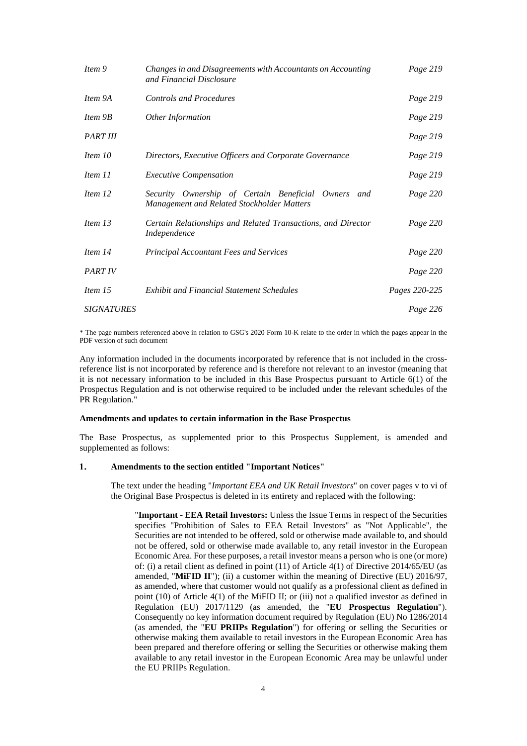| Item 9            | Changes in and Disagreements with Accountants on Accounting<br>and Financial Disclosure           | Page 219      |
|-------------------|---------------------------------------------------------------------------------------------------|---------------|
| Item 9A           | <b>Controls and Procedures</b>                                                                    | Page 219      |
| Item 9B           | Other Information                                                                                 | Page 219      |
| <b>PART III</b>   |                                                                                                   | Page 219      |
| Item 10           | Directors, Executive Officers and Corporate Governance                                            | Page 219      |
| Item 11           | <b>Executive Compensation</b>                                                                     | Page 219      |
| Item 12           | Security Ownership of Certain Beneficial Owners and<br>Management and Related Stockholder Matters | Page 220      |
| Item 13           | Certain Relationships and Related Transactions, and Director<br>Independence                      | Page 220      |
| Item 14           | <b>Principal Accountant Fees and Services</b>                                                     | Page 220      |
| <b>PART IV</b>    |                                                                                                   | Page 220      |
| Item 15           | <b>Exhibit and Financial Statement Schedules</b>                                                  | Pages 220-225 |
| <b>SIGNATURES</b> |                                                                                                   | Page 226      |

\* The page numbers referenced above in relation to GSG's 2020 Form 10-K relate to the order in which the pages appear in the PDF version of such document

Any information included in the documents incorporated by reference that is not included in the crossreference list is not incorporated by reference and is therefore not relevant to an investor (meaning that it is not necessary information to be included in this Base Prospectus pursuant to Article 6(1) of the Prospectus Regulation and is not otherwise required to be included under the relevant schedules of the PR Regulation."

### **Amendments and updates to certain information in the Base Prospectus**

The Base Prospectus, as supplemented prior to this Prospectus Supplement, is amended and supplemented as follows:

#### $\mathbf{1}$ . **Amendments to the section entitled "Important Notices"**

The text under the heading "*Important EEA and UK Retail Investors*" on cover pages v to vi of the Original Base Prospectus is deleted in its entirety and replaced with the following:

"**Important - EEA Retail Investors:** Unless the Issue Terms in respect of the Securities specifies "Prohibition of Sales to EEA Retail Investors" as "Not Applicable", the Securities are not intended to be offered, sold or otherwise made available to, and should not be offered, sold or otherwise made available to, any retail investor in the European Economic Area. For these purposes, a retail investor means a person who is one (or more) of: (i) a retail client as defined in point (11) of Article 4(1) of Directive 2014/65/EU (as amended, "MiFID II"); (ii) a customer within the meaning of Directive (EU) 2016/97, as amended, where that customer would not qualify as a professional client as defined in point (10) of Article 4(1) of the MiFID II; or (iii) not a qualified investor as defined in Regulation (EU) 2017/1129 (as amended, the "**EU Prospectus Regulation**"). Consequently no key information document required by Regulation (EU) No 1286/2014 (as amended, the "**EU PRIIPs Regulation**") for offering or selling the Securities or otherwise making them available to retail investors in the European Economic Area has been prepared and therefore offering or selling the Securities or otherwise making them available to any retail investor in the European Economic Area may be unlawful under the EU PRIIPs Regulation.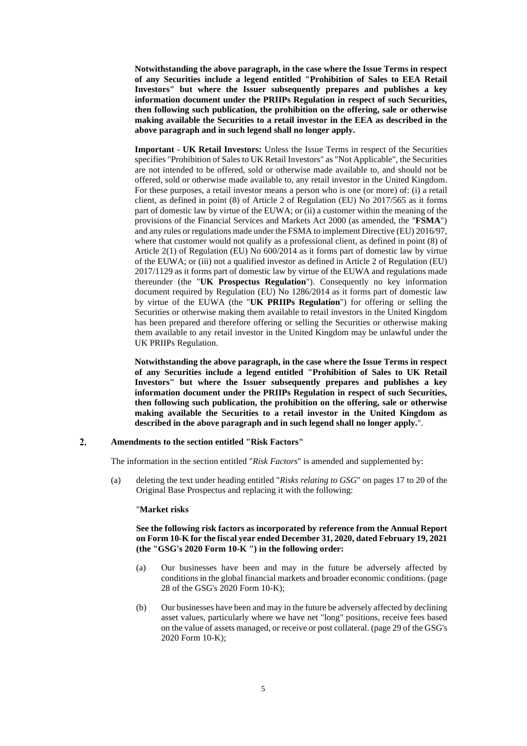**Notwithstanding the above paragraph, in the case where the Issue Terms in respect of any Securities include a legend entitled "Prohibition of Sales to EEA Retail Investors" but where the Issuer subsequently prepares and publishes a key information document under the PRIIPs Regulation in respect of such Securities, then following such publication, the prohibition on the offering, sale or otherwise making available the Securities to a retail investor in the EEA as described in the above paragraph and in such legend shall no longer apply.** 

**Important - UK Retail Investors:** Unless the Issue Terms in respect of the Securities specifies "Prohibition of Sales to UK Retail Investors" as "Not Applicable", the Securities are not intended to be offered, sold or otherwise made available to, and should not be offered, sold or otherwise made available to, any retail investor in the United Kingdom. For these purposes, a retail investor means a person who is one (or more) of: (i) a retail client, as defined in point (8) of Article 2 of Regulation (EU) No 2017/565 as it forms part of domestic law by virtue of the EUWA; or (ii) a customer within the meaning of the provisions of the Financial Services and Markets Act 2000 (as amended, the "**FSMA**") and any rules or regulations made under the FSMA to implement Directive (EU) 2016/97, where that customer would not qualify as a professional client, as defined in point  $(8)$  of Article 2(1) of Regulation (EU) No 600/2014 as it forms part of domestic law by virtue of the EUWA; or (iii) not a qualified investor as defined in Article 2 of Regulation (EU) 2017/1129 as it forms part of domestic law by virtue of the EUWA and regulations made thereunder (the "**UK Prospectus Regulation**"). Consequently no key information document required by Regulation (EU) No 1286/2014 as it forms part of domestic law by virtue of the EUWA (the "**UK PRIIPs Regulation**") for offering or selling the Securities or otherwise making them available to retail investors in the United Kingdom has been prepared and therefore offering or selling the Securities or otherwise making them available to any retail investor in the United Kingdom may be unlawful under the UK PRIIPs Regulation.

**Notwithstanding the above paragraph, in the case where the Issue Terms in respect of any Securities include a legend entitled "Prohibition of Sales to UK Retail Investors" but where the Issuer subsequently prepares and publishes a key information document under the PRIIPs Regulation in respect of such Securities, then following such publication, the prohibition on the offering, sale or otherwise making available the Securities to a retail investor in the United Kingdom as described in the above paragraph and in such legend shall no longer apply.**".

#### $2.$ **Amendments to the section entitled "Risk Factors"**

The information in the section entitled "*Risk Factors*" is amended and supplemented by:

(a) deleting the text under heading entitled "*Risks relating to GSG*" on pages 17 to 20 of the Original Base Prospectus and replacing it with the following:

#### "**Market risks**

## **See the following risk factors as incorporated by reference from the Annual Report on Form 10-K for the fiscal year ended December 31, 2020, dated February 19, 2021 (the "GSG's 2020 Form 10-K ") in the following order:**

- (a) Our businesses have been and may in the future be adversely affected by conditions in the global financial markets and broader economic conditions. (page 28 of the GSG's 2020 Form 10-K);
- (b) Our businesses have been and may in the future be adversely affected by declining asset values, particularly where we have net "long" positions, receive fees based on the value of assets managed, or receive or post collateral. (page 29 of the GSG's 2020 Form 10-K);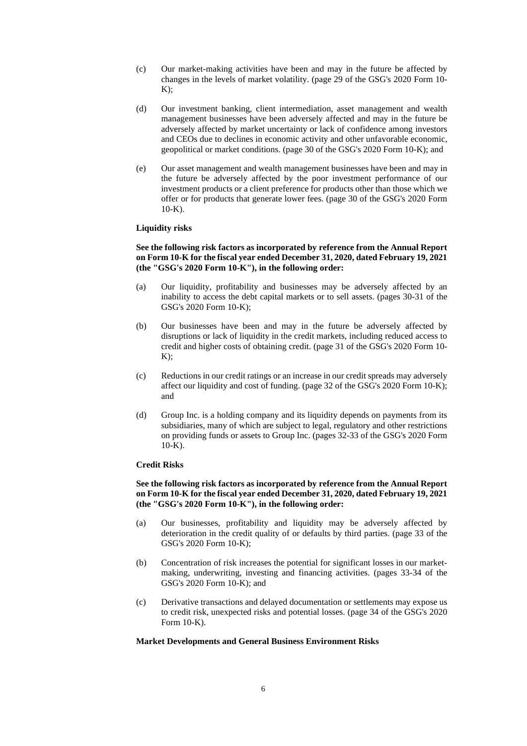- (c) Our market-making activities have been and may in the future be affected by changes in the levels of market volatility. (page 29 of the GSG's 2020 Form 10-  $K$ );
- (d) Our investment banking, client intermediation, asset management and wealth management businesses have been adversely affected and may in the future be adversely affected by market uncertainty or lack of confidence among investors and CEOs due to declines in economic activity and other unfavorable economic, geopolitical or market conditions. (page 30 of the GSG's 2020 Form 10-K); and
- (e) Our asset management and wealth management businesses have been and may in the future be adversely affected by the poor investment performance of our investment products or a client preference for products other than those which we offer or for products that generate lower fees. (page 30 of the GSG's 2020 Form  $10-K$ ).

## **Liquidity risks**

## **See the following risk factors as incorporated by reference from the Annual Report on Form 10-K for the fiscal year ended December 31, 2020, dated February 19, 2021 (the "GSG's 2020 Form 10-K"), in the following order:**

- (a) Our liquidity, profitability and businesses may be adversely affected by an inability to access the debt capital markets or to sell assets. (pages 30-31 of the GSG's 2020 Form 10-K);
- (b) Our businesses have been and may in the future be adversely affected by disruptions or lack of liquidity in the credit markets, including reduced access to credit and higher costs of obtaining credit. (page 31 of the GSG's 2020 Form 10-  $K$ :
- (c) Reductions in our credit ratings or an increase in our credit spreads may adversely affect our liquidity and cost of funding. (page 32 of the GSG's 2020 Form 10-K); and
- (d) Group Inc. is a holding company and its liquidity depends on payments from its subsidiaries, many of which are subject to legal, regulatory and other restrictions on providing funds or assets to Group Inc. (pages 32-33 of the GSG's 2020 Form  $10-K$ ).

### **Credit Risks**

## **See the following risk factors as incorporated by reference from the Annual Report on Form 10-K for the fiscal year ended December 31, 2020, dated February 19, 2021 (the "GSG's 2020 Form 10-K"), in the following order:**

- (a) Our businesses, profitability and liquidity may be adversely affected by deterioration in the credit quality of or defaults by third parties. (page 33 of the GSG's 2020 Form 10-K);
- (b) Concentration of risk increases the potential for significant losses in our marketmaking, underwriting, investing and financing activities. (pages 33-34 of the GSG's 2020 Form 10-K); and
- (c) Derivative transactions and delayed documentation or settlements may expose us to credit risk, unexpected risks and potential losses. (page 34 of the GSG's 2020 Form 10-K).

### **Market Developments and General Business Environment Risks**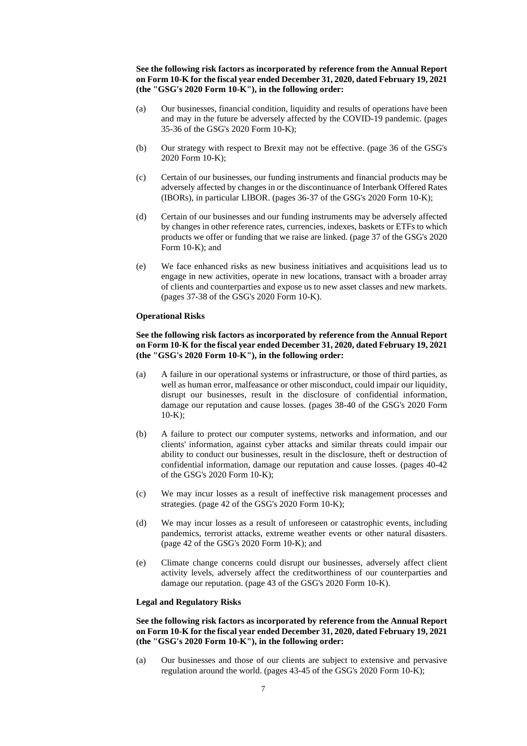**See the following risk factors as incorporated by reference from the Annual Report on Form 10-K for the fiscal year ended December 31, 2020, dated February 19, 2021 (the "GSG's 2020 Form 10-K"), in the following order:** 

- (a) Our businesses, financial condition, liquidity and results of operations have been and may in the future be adversely affected by the COVID-19 pandemic. (pages 35-36 of the GSG's 2020 Form 10-K);
- (b) Our strategy with respect to Brexit may not be effective. (page 36 of the GSG's 2020 Form 10-K);
- (c) Certain of our businesses, our funding instruments and financial products may be adversely affected by changes in or the discontinuance of Interbank Offered Rates (IBORs), in particular LIBOR. (pages 36-37 of the GSG's 2020 Form 10-K);
- (d) Certain of our businesses and our funding instruments may be adversely affected by changes in other reference rates, currencies, indexes, baskets or ETFs to which products we offer or funding that we raise are linked. (page 37 of the GSG's 2020 Form 10-K); and
- (e) We face enhanced risks as new business initiatives and acquisitions lead us to engage in new activities, operate in new locations, transact with a broader array of clients and counterparties and expose us to new asset classes and new markets. (pages 37-38 of the GSG's 2020 Form 10-K).

## **Operational Risks**

## **See the following risk factors as incorporated by reference from the Annual Report on Form 10-K for the fiscal year ended December 31, 2020, dated February 19, 2021 (the "GSG's 2020 Form 10-K"), in the following order:**

- (a) A failure in our operational systems or infrastructure, or those of third parties, as well as human error, malfeasance or other misconduct, could impair our liquidity, disrupt our businesses, result in the disclosure of confidential information, damage our reputation and cause losses. (pages 38-40 of the GSG's 2020 Form  $10-K$ :
- (b) A failure to protect our computer systems, networks and information, and our clients' information, against cyber attacks and similar threats could impair our ability to conduct our businesses, result in the disclosure, theft or destruction of confidential information, damage our reputation and cause losses. (pages 40-42 of the GSG's 2020 Form 10-K);
- (c) We may incur losses as a result of ineffective risk management processes and strategies. (page 42 of the GSG's 2020 Form 10-K);
- (d) We may incur losses as a result of unforeseen or catastrophic events, including pandemics, terrorist attacks, extreme weather events or other natural disasters. (page 42 of the GSG's 2020 Form 10-K); and
- (e) Climate change concerns could disrupt our businesses, adversely affect client activity levels, adversely affect the creditworthiness of our counterparties and damage our reputation. (page 43 of the GSG's 2020 Form 10-K).

### **Legal and Regulatory Risks**

## **See the following risk factors as incorporated by reference from the Annual Report on Form 10-K for the fiscal year ended December 31, 2020, dated February 19, 2021 (the "GSG's 2020 Form 10-K"), in the following order:**

(a) Our businesses and those of our clients are subject to extensive and pervasive regulation around the world. (pages 43-45 of the GSG's 2020 Form 10-K);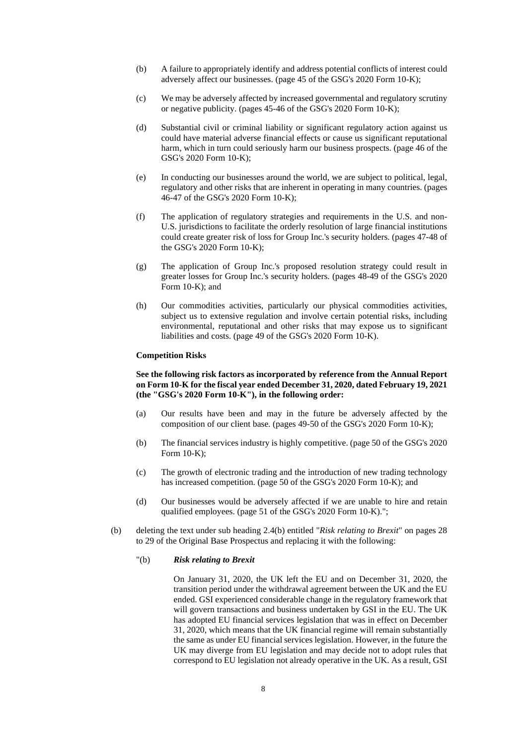- (b) A failure to appropriately identify and address potential conflicts of interest could adversely affect our businesses. (page 45 of the GSG's 2020 Form 10-K);
- (c) We may be adversely affected by increased governmental and regulatory scrutiny or negative publicity. (pages 45-46 of the GSG's 2020 Form 10-K);
- (d) Substantial civil or criminal liability or significant regulatory action against us could have material adverse financial effects or cause us significant reputational harm, which in turn could seriously harm our business prospects. (page 46 of the GSG's 2020 Form 10-K);
- (e) In conducting our businesses around the world, we are subject to political, legal, regulatory and other risks that are inherent in operating in many countries. (pages 46-47 of the GSG's 2020 Form 10-K);
- (f) The application of regulatory strategies and requirements in the U.S. and non-U.S. jurisdictions to facilitate the orderly resolution of large financial institutions could create greater risk of loss for Group Inc.'s security holders. (pages 47-48 of the GSG's 2020 Form 10-K);
- (g) The application of Group Inc.'s proposed resolution strategy could result in greater losses for Group Inc.'s security holders. (pages 48-49 of the GSG's 2020 Form 10-K); and
- (h) Our commodities activities, particularly our physical commodities activities, subject us to extensive regulation and involve certain potential risks, including environmental, reputational and other risks that may expose us to significant liabilities and costs. (page 49 of the GSG's 2020 Form 10-K).

### **Competition Risks**

# **See the following risk factors as incorporated by reference from the Annual Report on Form 10-K for the fiscal year ended December 31, 2020, dated February 19, 2021 (the "GSG's 2020 Form 10-K"), in the following order:**

- (a) Our results have been and may in the future be adversely affected by the composition of our client base. (pages 49-50 of the GSG's 2020 Form 10-K);
- (b) The financial services industry is highly competitive. (page 50 of the GSG's 2020 Form 10-K);
- (c) The growth of electronic trading and the introduction of new trading technology has increased competition. (page 50 of the GSG's 2020 Form 10-K); and
- (d) Our businesses would be adversely affected if we are unable to hire and retain qualified employees. (page 51 of the GSG's 2020 Form 10-K).";
- (b) deleting the text under sub heading 2.4(b) entitled "*Risk relating to Brexit*" on pages 28 to 29 of the Original Base Prospectus and replacing it with the following:

## "(b) *Risk relating to Brexit*

On January 31, 2020, the UK left the EU and on December 31, 2020, the transition period under the withdrawal agreement between the UK and the EU ended. GSI experienced considerable change in the regulatory framework that will govern transactions and business undertaken by GSI in the EU. The UK has adopted EU financial services legislation that was in effect on December 31, 2020, which means that the UK financial regime will remain substantially the same as under EU financial services legislation. However, in the future the UK may diverge from EU legislation and may decide not to adopt rules that correspond to EU legislation not already operative in the UK. As a result, GSI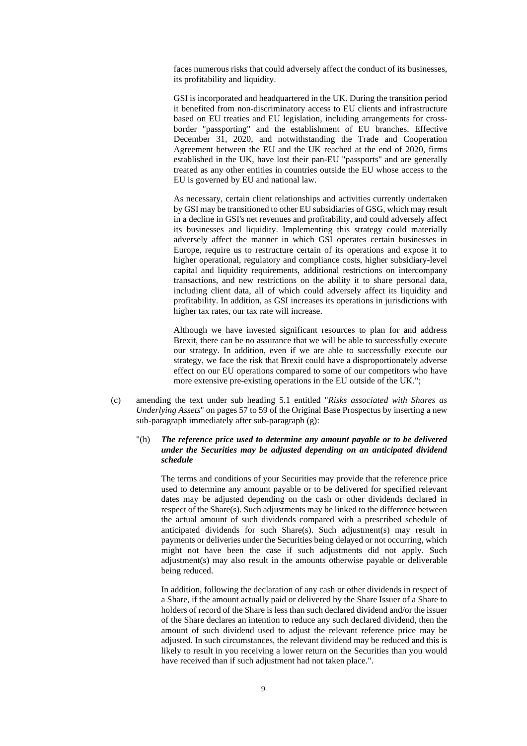faces numerous risks that could adversely affect the conduct of its businesses, its profitability and liquidity.

GSI is incorporated and headquartered in the UK. During the transition period it benefited from non-discriminatory access to EU clients and infrastructure based on EU treaties and EU legislation, including arrangements for crossborder "passporting" and the establishment of EU branches. Effective December 31, 2020, and notwithstanding the Trade and Cooperation Agreement between the EU and the UK reached at the end of 2020, firms established in the UK, have lost their pan-EU "passports" and are generally treated as any other entities in countries outside the EU whose access to the EU is governed by EU and national law.

As necessary, certain client relationships and activities currently undertaken by GSI may be transitioned to other EU subsidiaries of GSG, which may result in a decline in GSI's net revenues and profitability, and could adversely affect its businesses and liquidity. Implementing this strategy could materially adversely affect the manner in which GSI operates certain businesses in Europe, require us to restructure certain of its operations and expose it to higher operational, regulatory and compliance costs, higher subsidiary-level capital and liquidity requirements, additional restrictions on intercompany transactions, and new restrictions on the ability it to share personal data, including client data, all of which could adversely affect its liquidity and profitability. In addition, as GSI increases its operations in jurisdictions with higher tax rates, our tax rate will increase.

Although we have invested significant resources to plan for and address Brexit, there can be no assurance that we will be able to successfully execute our strategy. In addition, even if we are able to successfully execute our strategy, we face the risk that Brexit could have a disproportionately adverse effect on our EU operations compared to some of our competitors who have more extensive pre-existing operations in the EU outside of the UK.";

(c) amending the text under sub heading 5.1 entitled "*Risks associated with Shares as Underlying Assets*" on pages 57 to 59 of the Original Base Prospectus by inserting a new sub-paragraph immediately after sub-paragraph (g):

## "(h) *The reference price used to determine any amount payable or to be delivered under the Securities may be adjusted depending on an anticipated dividend schedule*

The terms and conditions of your Securities may provide that the reference price used to determine any amount payable or to be delivered for specified relevant dates may be adjusted depending on the cash or other dividends declared in respect of the Share(s). Such adjustments may be linked to the difference between the actual amount of such dividends compared with a prescribed schedule of anticipated dividends for such Share(s). Such adjustment(s) may result in payments or deliveries under the Securities being delayed or not occurring, which might not have been the case if such adjustments did not apply. Such adjustment(s) may also result in the amounts otherwise payable or deliverable being reduced.

In addition, following the declaration of any cash or other dividends in respect of a Share, if the amount actually paid or delivered by the Share Issuer of a Share to holders of record of the Share is less than such declared dividend and/or the issuer of the Share declares an intention to reduce any such declared dividend, then the amount of such dividend used to adjust the relevant reference price may be adjusted. In such circumstances, the relevant dividend may be reduced and this is likely to result in you receiving a lower return on the Securities than you would have received than if such adjustment had not taken place.".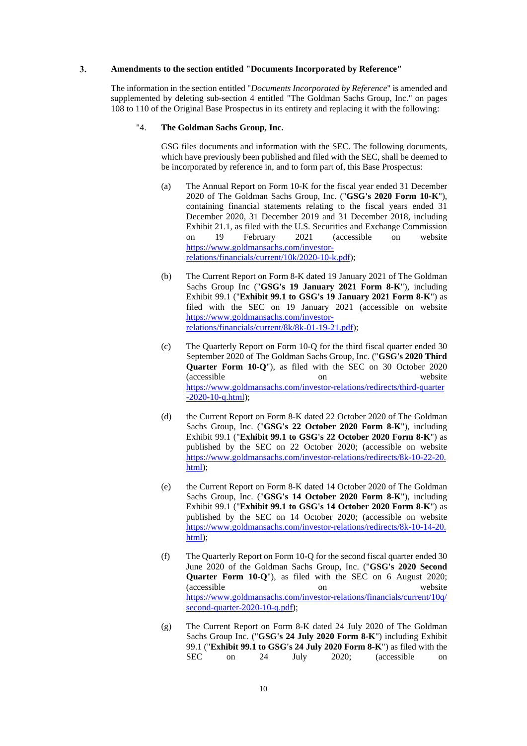#### $3.$ **Amendments to the section entitled "Documents Incorporated by Reference"**

The information in the section entitled "*Documents Incorporated by Reference*" is amended and supplemented by deleting sub-section 4 entitled "The Goldman Sachs Group, Inc." on pages 108 to 110 of the Original Base Prospectus in its entirety and replacing it with the following:

## "4. **The Goldman Sachs Group, Inc.**

GSG files documents and information with the SEC. The following documents, which have previously been published and filed with the SEC, shall be deemed to be incorporated by reference in, and to form part of, this Base Prospectus:

- (a) The Annual Report on Form 10-K for the fiscal year ended 31 December 2020 of The Goldman Sachs Group, Inc. ("**GSG's 2020 Form 10-K**"), containing financial statements relating to the fiscal years ended 31 December 2020, 31 December 2019 and 31 December 2018, including Exhibit 21.1, as filed with the U.S. Securities and Exchange Commission on 19 February 2021 (accessible on website [https://www.goldmansachs.com/investor](https://www.goldmansachs.com/investor-relations/financials/current/10k/2020-10-k.pdf)[relations/financials/current/10k/2020-10-k.pdf\)](https://www.goldmansachs.com/investor-relations/financials/current/10k/2020-10-k.pdf);
- (b) The Current Report on Form 8-K dated 19 January 2021 of The Goldman Sachs Group Inc ("**GSG's 19 January 2021 Form 8-K**"), including Exhibit 99.1 ("**Exhibit 99.1 to GSG's 19 January 2021 Form 8-K**") as filed with the SEC on 19 January 2021 (accessible on website [https://www.goldmansachs.com/investor](https://www.goldmansachs.com/investor-relations/financials/current/8k/8k-01-19-21.pdf)[relations/financials/current/8k/8k-01-19-21.pdf\)](https://www.goldmansachs.com/investor-relations/financials/current/8k/8k-01-19-21.pdf);
- (c) The Quarterly Report on Form 10-Q for the third fiscal quarter ended 30 September 2020 of The Goldman Sachs Group, Inc. ("**GSG's 2020 Third Quarter Form 10-Q**"), as filed with the SEC on 30 October 2020 (accessible on website [https://www.goldmansachs.com/investor-relations/redirects/third-quarter](https://www.goldmansachs.com/investor-relations/redirects/third-quarter-2020-10-q.html) [-2020-10-q.html\)](https://www.goldmansachs.com/investor-relations/redirects/third-quarter-2020-10-q.html);
- (d) the Current Report on Form 8-K dated 22 October 2020 of The Goldman Sachs Group, Inc. ("**GSG's 22 October 2020 Form 8-K**"), including Exhibit 99.1 ("**Exhibit 99.1 to GSG's 22 October 2020 Form 8-K**") as published by the SEC on 22 October 2020; (accessible on website [https://www.goldmansachs.com/investor-relations/redirects/8k-10-22-20.](https://www.goldmansachs.com/investor-relations/redirects/8k-10-22-20.html) [html\)](https://www.goldmansachs.com/investor-relations/redirects/8k-10-22-20.html);
- (e) the Current Report on Form 8-K dated 14 October 2020 of The Goldman Sachs Group, Inc. ("**GSG's 14 October 2020 Form 8-K**"), including Exhibit 99.1 ("**Exhibit 99.1 to GSG's 14 October 2020 Form 8-K**") as published by the SEC on 14 October 2020; (accessible on website [https://www.goldmansachs.com/investor-relations/redirects/8k-10-14-20.](https://www.goldmansachs.com/investorrelations/redirects/8k101420.html) [html\)](https://www.goldmansachs.com/investorrelations/redirects/8k101420.html);
- (f) The Quarterly Report on Form 10-Q for the second fiscal quarter ended 30 June 2020 of the Goldman Sachs Group, Inc. ("**GSG's 2020 Second Quarter Form 10-Q**"), as filed with the SEC on 6 August 2020; (accessible on website [https://www.goldmansachs.com/investor-relations/financials/current/10q/](https://www.goldmansachs.com/investor-relations/financials/current/10q/second-quarter-2020-10-q.pdf) [second-quarter-2020-10-q.pdf\)](https://www.goldmansachs.com/investor-relations/financials/current/10q/second-quarter-2020-10-q.pdf);
- (g) The Current Report on Form 8-K dated 24 July 2020 of The Goldman Sachs Group Inc. ("**GSG's 24 July 2020 Form 8-K**") including Exhibit 99.1 ("**Exhibit 99.1 to GSG's 24 July 2020 Form 8-K**") as filed with the SEC on 24 July 2020; (accessible on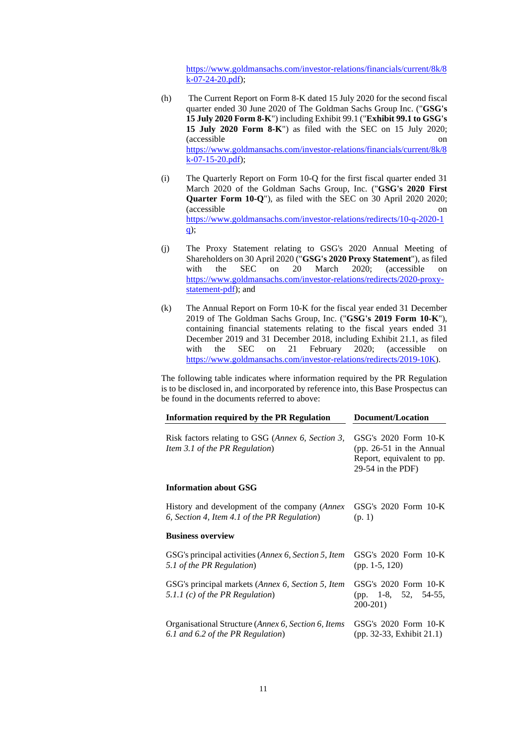[https://www.goldmansachs.com/investor-relations/financials/current/8k/8](https://www.goldmansachs.com/investor-relations/financials/current/8k/8k-07-24-20.pdf)  $k-07-24-20.pdf$ ;

- (h) The Current Report on Form 8-K dated 15 July 2020 for the second fiscal quarter ended 30 June 2020 of The Goldman Sachs Group Inc. ("**GSG's 15 July 2020 Form 8-K**") including Exhibit 99.1 ("**Exhibit 99.1 to GSG's 15 July 2020 Form 8-K**") as filed with the SEC on 15 July 2020; (accessible on [https://www.goldmansachs.com/investor-relations/financials/current/8k/8](https://www.goldmansachs.com/investor-relations/financials/current/8k/8k-07-15-20.pdf)  $k-07-15-20.pdf$ ;
- (i) The Quarterly Report on Form 10-Q for the first fiscal quarter ended 31 March 2020 of the Goldman Sachs Group, Inc. ("**GSG's 2020 First Quarter Form 10-Q**"), as filed with the SEC on 30 April 2020 2020; (accessible on [https://www.goldmansachs.com/investor-relations/redirects/10-q-2020-1](https://www.goldmansachs.com/investor-relations/redirects/10-q-2020-1q)  $q$ );
- (j) The Proxy Statement relating to GSG's 2020 Annual Meeting of Shareholders on 30 April 2020 ("**GSG's 2020 Proxy Statement**"), as filed with the SEC on 20 March 2020; (accessible on [https://www.goldmansachs.com/investor-relations/redirects/2020-proxy](https://www.goldmansachs.com/investorrelations/redirects/2020proxystatementpdf)[statement-pdf\)](https://www.goldmansachs.com/investorrelations/redirects/2020proxystatementpdf); and
- (k) The Annual Report on Form 10-K for the fiscal year ended 31 December 2019 of The Goldman Sachs Group, Inc. ("**GSG's 2019 Form 10-K**"), containing financial statements relating to the fiscal years ended 31 December 2019 and 31 December 2018, including Exhibit 21.1, as filed with the SEC on 21 February 2020; (accessible on [https://www.goldmansachs.com/investor-relations/redirects/2019-10K\)](https://www.goldmansachs.com/investor-relations/redirects/2019-10K).

The following table indicates where information required by the PR Regulation is to be disclosed in, and incorporated by reference into, this Base Prospectus can be found in the documents referred to above:

| <b>Information required by the PR Regulation</b>                                                        | Document/Location                                                                                    |  |  |
|---------------------------------------------------------------------------------------------------------|------------------------------------------------------------------------------------------------------|--|--|
| Risk factors relating to GSG (Annex 6, Section 3,<br>Item 3.1 of the PR Regulation)                     | GSG's 2020 Form 10-K<br>(pp. $26-51$ in the Annual<br>Report, equivalent to pp.<br>29-54 in the PDF) |  |  |
| <b>Information about GSG</b>                                                                            |                                                                                                      |  |  |
| History and development of the company ( <i>Annex</i> )<br>6, Section 4, Item 4.1 of the PR Regulation) | GSG's $2020$ Form $10-K$<br>(p. 1)                                                                   |  |  |
| <b>Business overview</b>                                                                                |                                                                                                      |  |  |
| GSG's principal activities ( <i>Annex 6, Section 5, Item</i><br>5.1 of the PR Regulation)               | GSG's $2020$ Form $10-K$<br>(pp. 1-5, 120)                                                           |  |  |
| GSG's principal markets (Annex 6, Section 5, Item<br>5.1.1 $(c)$ of the PR Regulation)                  | GSG's $2020$ Form $10-K$<br>(pp. 1-8, 52, 54-55,<br>200-201)                                         |  |  |
| Organisational Structure ( <i>Annex 6, Section 6, Items</i><br>6.1 and 6.2 of the PR Regulation)        | GSG's $2020$ Form $10-K$<br>(pp. 32-33, Exhibit 21.1)                                                |  |  |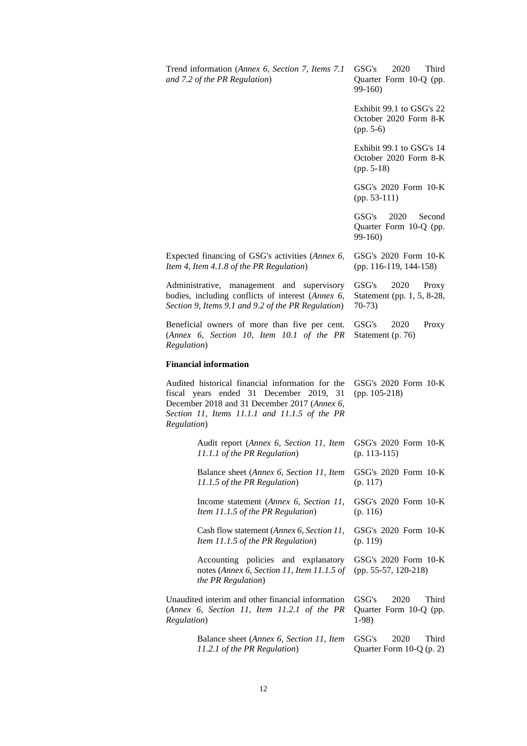| Trend information (Annex 6, Section 7, Items 7.1<br>and 7.2 of the PR Regulation)                                                                                                                           | 2020<br>GSG's<br>Third<br>Quarter Form 10-Q (pp.<br>$99-160$      |
|-------------------------------------------------------------------------------------------------------------------------------------------------------------------------------------------------------------|-------------------------------------------------------------------|
|                                                                                                                                                                                                             | Exhibit 99.1 to GSG's 22<br>October 2020 Form 8-K<br>$(pp. 5-6)$  |
|                                                                                                                                                                                                             | Exhibit 99.1 to GSG's 14<br>October 2020 Form 8-K<br>$(pp. 5-18)$ |
|                                                                                                                                                                                                             | GSG's 2020 Form 10-K<br>$(pp. 53-111)$                            |
|                                                                                                                                                                                                             | 2020<br>GSG's<br>Second<br>Quarter Form 10-Q (pp.<br>99-160)      |
| Expected financing of GSG's activities (Annex 6,<br>Item 4, Item 4.1.8 of the PR Regulation)                                                                                                                | GSG's 2020 Form 10-K<br>(pp. 116-119, 144-158)                    |
| Administrative, management and supervisory<br>bodies, including conflicts of interest (Annex 6,<br>Section 9, Items 9.1 and 9.2 of the PR Regulation)                                                       | GSG's<br>2020<br>Proxy<br>Statement (pp. 1, 5, 8-28,<br>$70-73$   |
| Beneficial owners of more than five per cent.<br>(Annex 6, Section 10, Item 10.1 of the PR<br>Regulation)                                                                                                   | GSG's<br>2020<br>Proxy<br>Statement (p. 76)                       |
| <b>Financial information</b>                                                                                                                                                                                |                                                                   |
| Audited historical financial information for the<br>fiscal years ended 31 December 2019, 31<br>December 2018 and 31 December 2017 (Annex 6,<br>Section 11, Items 11.1.1 and 11.1.5 of the PR<br>Regulation) | GSG's 2020 Form 10-K<br>$(pp. 105-218)$                           |
| Audit report (Annex 6, Section 11, Item                                                                                                                                                                     |                                                                   |
| 11.1.1 of the PR Regulation)                                                                                                                                                                                | GSG's $2020$ Form $10-K$<br>$(p. 113-115)$                        |
| Balance sheet (Annex 6, Section 11, Item<br>11.1.5 of the PR Regulation)                                                                                                                                    | GSG's 2020 Form 10-K<br>(p. 117)                                  |
| Income statement (Annex 6, Section 11,<br>Item 11.1.5 of the PR Regulation)                                                                                                                                 | GSG's 2020 Form 10-K<br>(p. 116)                                  |
| Cash flow statement (Annex 6, Section 11,<br>Item 11.1.5 of the PR Regulation)                                                                                                                              | GSG's 2020 Form 10-K<br>(p. 119)                                  |
| Accounting policies and explanatory<br>notes (Annex 6, Section 11, Item 11.1.5 of<br>the PR Regulation)                                                                                                     | GSG's 2020 Form 10-K<br>(pp. 55-57, 120-218)                      |
| Unaudited interim and other financial information<br>(Annex 6, Section 11, Item 11.2.1 of the PR<br>Regulation)                                                                                             | GSG's<br>2020<br>Third<br>Quarter Form 10-Q (pp.<br>$1-98$        |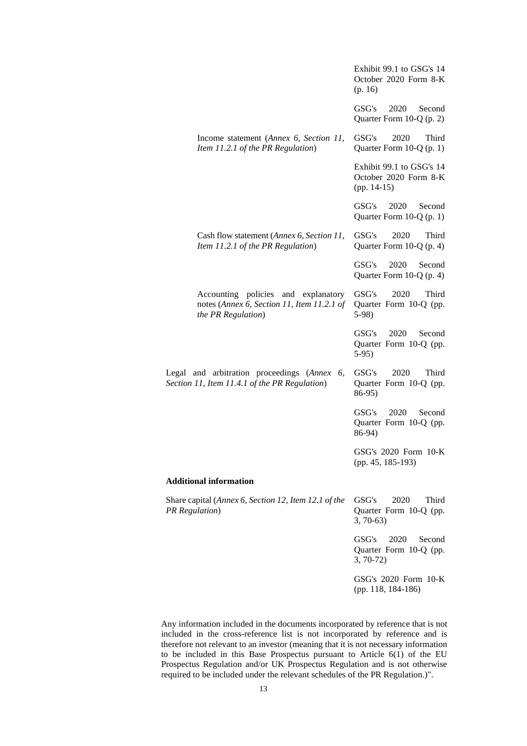|                                                                                                         | Exhibit 99.1 to GSG's 14<br>October 2020 Form 8-K<br>(p. 16)       |
|---------------------------------------------------------------------------------------------------------|--------------------------------------------------------------------|
|                                                                                                         | 2020<br>GSG's<br>Second<br>Quarter Form 10-Q (p. 2)                |
| Income statement (Annex 6, Section 11,<br>Item 11.2.1 of the PR Regulation)                             | GSG's<br>2020<br>Third<br>Quarter Form 10-Q (p. 1)                 |
|                                                                                                         | Exhibit 99.1 to GSG's 14<br>October 2020 Form 8-K<br>$(pp. 14-15)$ |
|                                                                                                         | GSG's<br>2020<br>Second<br>Quarter Form 10-Q (p. 1)                |
| Cash flow statement (Annex 6, Section 11,<br>Item 11.2.1 of the PR Regulation)                          | GSG's<br>2020<br>Third<br>Quarter Form $10-Q$ (p. 4)               |
|                                                                                                         | GSG's<br>2020<br>Second<br>Quarter Form $10-Q$ (p. 4)              |
| Accounting policies and explanatory<br>notes (Annex 6, Section 11, Item 11.2.1 of<br>the PR Regulation) | GSG's<br>2020<br>Third<br>Quarter Form 10-Q (pp.<br>$5-98$         |
|                                                                                                         | GSG's<br>2020<br>Second<br>Quarter Form 10-Q (pp.<br>$5-95$        |
| Legal and arbitration proceedings (Annex<br>6,<br>Section 11, Item 11.4.1 of the PR Regulation)         | 2020<br>Third<br>GSG's<br>Quarter Form 10-Q (pp.<br>86-95)         |
|                                                                                                         | GSG's<br>2020<br>Second<br>Quarter Form 10-Q (pp.<br>86-94)        |
|                                                                                                         | GSG's 2020 Form 10-K<br>(pp. 45, 185-193)                          |
| <b>Additional information</b>                                                                           |                                                                    |
| Share capital (Annex 6, Section 12, Item 12.1 of the<br><b>PR</b> Regulation)                           | GSG's<br>2020<br>Third<br>Quarter Form 10-Q (pp.<br>$3, 70-63$     |
|                                                                                                         | GSG's<br>2020<br>Second<br>Quarter Form 10-Q (pp.<br>$3, 70-72)$   |
|                                                                                                         | GSG's 2020 Form 10-K<br>(pp. 118, 184-186)                         |

Any information included in the documents incorporated by reference that is not included in the cross-reference list is not incorporated by reference and is therefore not relevant to an investor (meaning that it is not necessary information to be included in this Base Prospectus pursuant to Article 6(1) of the EU Prospectus Regulation and/or UK Prospectus Regulation and is not otherwise required to be included under the relevant schedules of the PR Regulation.)".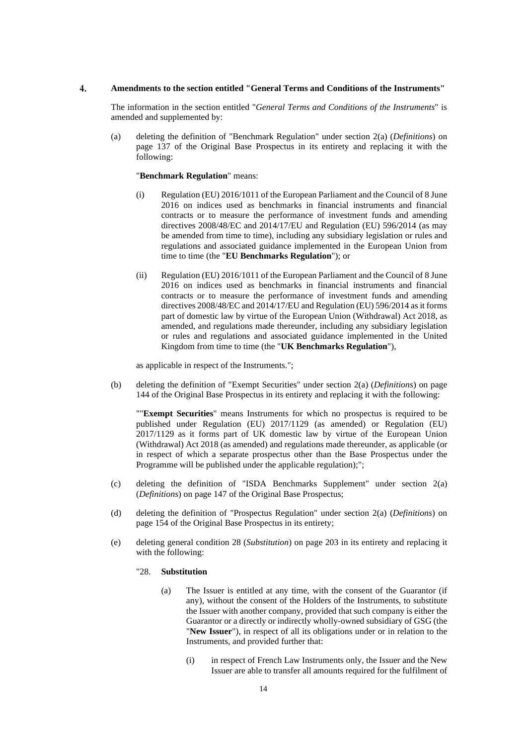#### $\overline{4}$ . **Amendments to the section entitled "General Terms and Conditions of the Instruments"**

The information in the section entitled "*General Terms and Conditions of the Instruments*" is amended and supplemented by:

(a) deleting the definition of "Benchmark Regulation" under section 2(a) (*Definitions*) on page 137 of the Original Base Prospectus in its entirety and replacing it with the following:

# "**Benchmark Regulation**" means:

- (i) Regulation (EU) 2016/1011 of the European Parliament and the Council of 8 June 2016 on indices used as benchmarks in financial instruments and financial contracts or to measure the performance of investment funds and amending directives 2008/48/EC and 2014/17/EU and Regulation (EU) 596/2014 (as may be amended from time to time), including any subsidiary legislation or rules and regulations and associated guidance implemented in the European Union from time to time (the "**EU Benchmarks Regulation**"); or
- (ii) Regulation (EU) 2016/1011 of the European Parliament and the Council of 8 June 2016 on indices used as benchmarks in financial instruments and financial contracts or to measure the performance of investment funds and amending directives 2008/48/EC and 2014/17/EU and Regulation (EU) 596/2014 as it forms part of domestic law by virtue of the European Union (Withdrawal) Act 2018, as amended, and regulations made thereunder, including any subsidiary legislation or rules and regulations and associated guidance implemented in the United Kingdom from time to time (the "**UK Benchmarks Regulation**"),

as applicable in respect of the Instruments.";

(b) deleting the definition of "Exempt Securities" under section 2(a) (*Definitions*) on page 144 of the Original Base Prospectus in its entirety and replacing it with the following:

""**Exempt Securities**" means Instruments for which no prospectus is required to be published under Regulation (EU) 2017/1129 (as amended) or Regulation (EU) 2017/1129 as it forms part of UK domestic law by virtue of the European Union (Withdrawal) Act 2018 (as amended) and regulations made thereunder, as applicable (or in respect of which a separate prospectus other than the Base Prospectus under the Programme will be published under the applicable regulation);";

- (c) deleting the definition of "ISDA Benchmarks Supplement" under section 2(a) (*Definitions*) on page 147 of the Original Base Prospectus;
- (d) deleting the definition of "Prospectus Regulation" under section 2(a) (*Definitions*) on page 154 of the Original Base Prospectus in its entirety;
- (e) deleting general condition 28 (*Substitution*) on page 203 in its entirety and replacing it with the following:

#### "28. **Substitution**

- (a) The Issuer is entitled at any time, with the consent of the Guarantor (if any), without the consent of the Holders of the Instruments, to substitute the Issuer with another company, provided that such company is either the Guarantor or a directly or indirectly wholly-owned subsidiary of GSG (the "**New Issuer**"), in respect of all its obligations under or in relation to the Instruments, and provided further that:
	- (i) in respect of French Law Instruments only, the Issuer and the New Issuer are able to transfer all amounts required for the fulfilment of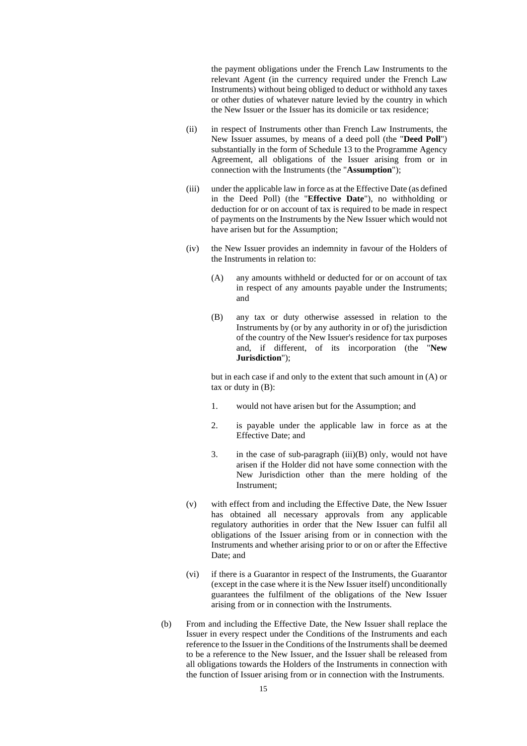the payment obligations under the French Law Instruments to the relevant Agent (in the currency required under the French Law Instruments) without being obliged to deduct or withhold any taxes or other duties of whatever nature levied by the country in which the New Issuer or the Issuer has its domicile or tax residence;

- (ii) in respect of Instruments other than French Law Instruments, the New Issuer assumes, by means of a deed poll (the "**Deed Poll**") substantially in the form of Schedule 13 to the Programme Agency Agreement, all obligations of the Issuer arising from or in connection with the Instruments (the "**Assumption**");
- (iii) under the applicable law in force as at the Effective Date (as defined in the Deed Poll) (the "**Effective Date**"), no withholding or deduction for or on account of tax is required to be made in respect of payments on the Instruments by the New Issuer which would not have arisen but for the Assumption;
- (iv) the New Issuer provides an indemnity in favour of the Holders of the Instruments in relation to:
	- (A) any amounts withheld or deducted for or on account of tax in respect of any amounts payable under the Instruments; and
	- (B) any tax or duty otherwise assessed in relation to the Instruments by (or by any authority in or of) the jurisdiction of the country of the New Issuer's residence for tax purposes and, if different, of its incorporation (the "**New Jurisdiction**");

but in each case if and only to the extent that such amount in (A) or tax or duty in (B):

- 1. would not have arisen but for the Assumption; and
- 2. is payable under the applicable law in force as at the Effective Date; and
- 3. in the case of sub-paragraph (iii)(B) only, would not have arisen if the Holder did not have some connection with the New Jurisdiction other than the mere holding of the Instrument;
- (v) with effect from and including the Effective Date, the New Issuer has obtained all necessary approvals from any applicable regulatory authorities in order that the New Issuer can fulfil all obligations of the Issuer arising from or in connection with the Instruments and whether arising prior to or on or after the Effective Date; and
- (vi) if there is a Guarantor in respect of the Instruments, the Guarantor (except in the case where it is the New Issuer itself) unconditionally guarantees the fulfilment of the obligations of the New Issuer arising from or in connection with the Instruments.
- (b) From and including the Effective Date, the New Issuer shall replace the Issuer in every respect under the Conditions of the Instruments and each reference to the Issuer in the Conditions of the Instruments shall be deemed to be a reference to the New Issuer, and the Issuer shall be released from all obligations towards the Holders of the Instruments in connection with the function of Issuer arising from or in connection with the Instruments.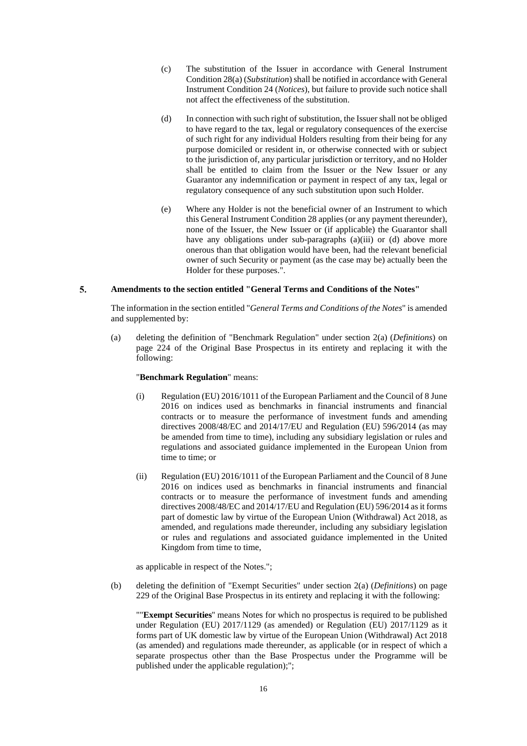- (c) The substitution of the Issuer in accordance with General Instrument Condition 28(a) (*Substitution*) shall be notified in accordance with General Instrument Condition 24 (*Notices*), but failure to provide such notice shall not affect the effectiveness of the substitution.
- (d) In connection with such right of substitution, the Issuer shall not be obliged to have regard to the tax, legal or regulatory consequences of the exercise of such right for any individual Holders resulting from their being for any purpose domiciled or resident in, or otherwise connected with or subject to the jurisdiction of, any particular jurisdiction or territory, and no Holder shall be entitled to claim from the Issuer or the New Issuer or any Guarantor any indemnification or payment in respect of any tax, legal or regulatory consequence of any such substitution upon such Holder.
- (e) Where any Holder is not the beneficial owner of an Instrument to which this General Instrument Condition 28 applies (or any payment thereunder), none of the Issuer, the New Issuer or (if applicable) the Guarantor shall have any obligations under sub-paragraphs (a)(iii) or (d) above more onerous than that obligation would have been, had the relevant beneficial owner of such Security or payment (as the case may be) actually been the Holder for these purposes.".

#### 5. **Amendments to the section entitled "General Terms and Conditions of the Notes"**

The information in the section entitled "*General Terms and Conditions of the Notes*" is amended and supplemented by:

(a) deleting the definition of "Benchmark Regulation" under section 2(a) (*Definitions*) on page 224 of the Original Base Prospectus in its entirety and replacing it with the following:

# "**Benchmark Regulation**" means:

- (i) Regulation (EU) 2016/1011 of the European Parliament and the Council of 8 June 2016 on indices used as benchmarks in financial instruments and financial contracts or to measure the performance of investment funds and amending directives 2008/48/EC and 2014/17/EU and Regulation (EU) 596/2014 (as may be amended from time to time), including any subsidiary legislation or rules and regulations and associated guidance implemented in the European Union from time to time; or
- (ii) Regulation (EU) 2016/1011 of the European Parliament and the Council of 8 June 2016 on indices used as benchmarks in financial instruments and financial contracts or to measure the performance of investment funds and amending directives 2008/48/EC and 2014/17/EU and Regulation (EU) 596/2014 as it forms part of domestic law by virtue of the European Union (Withdrawal) Act 2018, as amended, and regulations made thereunder, including any subsidiary legislation or rules and regulations and associated guidance implemented in the United Kingdom from time to time,

as applicable in respect of the Notes.";

(b) deleting the definition of "Exempt Securities" under section 2(a) (*Definitions*) on page 229 of the Original Base Prospectus in its entirety and replacing it with the following:

""**Exempt Securities**'' means Notes for which no prospectus is required to be published under Regulation (EU) 2017/1129 (as amended) or Regulation (EU) 2017/1129 as it forms part of UK domestic law by virtue of the European Union (Withdrawal) Act 2018 (as amended) and regulations made thereunder, as applicable (or in respect of which a separate prospectus other than the Base Prospectus under the Programme will be published under the applicable regulation);";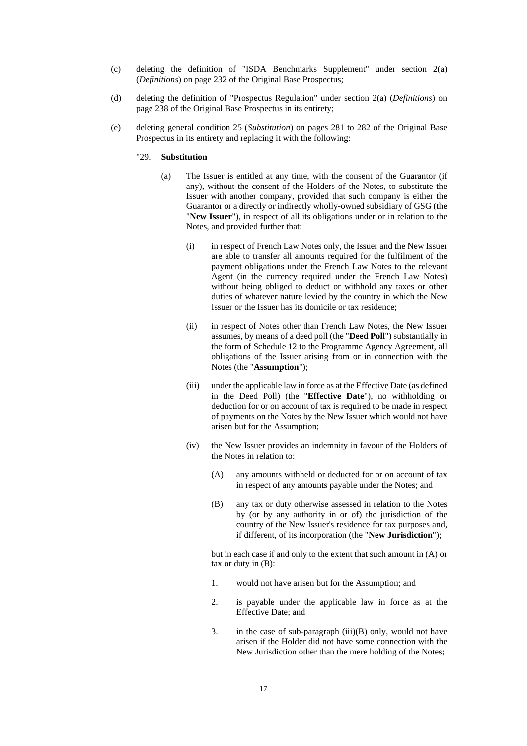- (c) deleting the definition of "ISDA Benchmarks Supplement" under section 2(a) (*Definitions*) on page 232 of the Original Base Prospectus;
- (d) deleting the definition of "Prospectus Regulation" under section 2(a) (*Definitions*) on page 238 of the Original Base Prospectus in its entirety;
- (e) deleting general condition 25 (*Substitution*) on pages 281 to 282 of the Original Base Prospectus in its entirety and replacing it with the following:

### "29. **Substitution**

- (a) The Issuer is entitled at any time, with the consent of the Guarantor (if any), without the consent of the Holders of the Notes, to substitute the Issuer with another company, provided that such company is either the Guarantor or a directly or indirectly wholly-owned subsidiary of GSG (the "**New Issuer**"), in respect of all its obligations under or in relation to the Notes, and provided further that:
	- (i) in respect of French Law Notes only, the Issuer and the New Issuer are able to transfer all amounts required for the fulfilment of the payment obligations under the French Law Notes to the relevant Agent (in the currency required under the French Law Notes) without being obliged to deduct or withhold any taxes or other duties of whatever nature levied by the country in which the New Issuer or the Issuer has its domicile or tax residence;
	- (ii) in respect of Notes other than French Law Notes, the New Issuer assumes, by means of a deed poll (the "**Deed Poll**") substantially in the form of Schedule 12 to the Programme Agency Agreement, all obligations of the Issuer arising from or in connection with the Notes (the "**Assumption**");
	- (iii) under the applicable law in force as at the Effective Date (as defined in the Deed Poll) (the "**Effective Date**"), no withholding or deduction for or on account of tax is required to be made in respect of payments on the Notes by the New Issuer which would not have arisen but for the Assumption;
	- (iv) the New Issuer provides an indemnity in favour of the Holders of the Notes in relation to:
		- (A) any amounts withheld or deducted for or on account of tax in respect of any amounts payable under the Notes; and
		- (B) any tax or duty otherwise assessed in relation to the Notes by (or by any authority in or of) the jurisdiction of the country of the New Issuer's residence for tax purposes and, if different, of its incorporation (the "**New Jurisdiction**");

but in each case if and only to the extent that such amount in (A) or tax or duty in (B):

- 1. would not have arisen but for the Assumption; and
- 2. is payable under the applicable law in force as at the Effective Date; and
- 3. in the case of sub-paragraph (iii)(B) only, would not have arisen if the Holder did not have some connection with the New Jurisdiction other than the mere holding of the Notes;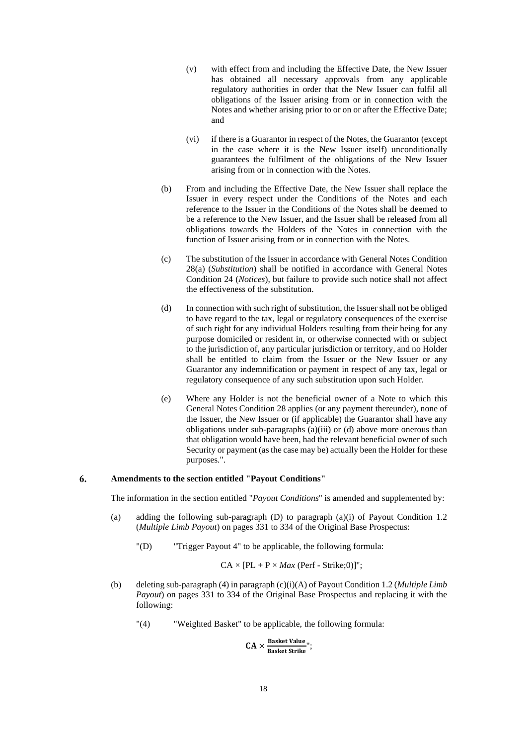- (v) with effect from and including the Effective Date, the New Issuer has obtained all necessary approvals from any applicable regulatory authorities in order that the New Issuer can fulfil all obligations of the Issuer arising from or in connection with the Notes and whether arising prior to or on or after the Effective Date; and
- (vi) if there is a Guarantor in respect of the Notes, the Guarantor (except in the case where it is the New Issuer itself) unconditionally guarantees the fulfilment of the obligations of the New Issuer arising from or in connection with the Notes.
- (b) From and including the Effective Date, the New Issuer shall replace the Issuer in every respect under the Conditions of the Notes and each reference to the Issuer in the Conditions of the Notes shall be deemed to be a reference to the New Issuer, and the Issuer shall be released from all obligations towards the Holders of the Notes in connection with the function of Issuer arising from or in connection with the Notes.
- (c) The substitution of the Issuer in accordance with General Notes Condition 28(a) (*Substitution*) shall be notified in accordance with General Notes Condition 24 (*Notices*), but failure to provide such notice shall not affect the effectiveness of the substitution.
- (d) In connection with such right of substitution, the Issuer shall not be obliged to have regard to the tax, legal or regulatory consequences of the exercise of such right for any individual Holders resulting from their being for any purpose domiciled or resident in, or otherwise connected with or subject to the jurisdiction of, any particular jurisdiction or territory, and no Holder shall be entitled to claim from the Issuer or the New Issuer or any Guarantor any indemnification or payment in respect of any tax, legal or regulatory consequence of any such substitution upon such Holder.
- (e) Where any Holder is not the beneficial owner of a Note to which this General Notes Condition 28 applies (or any payment thereunder), none of the Issuer, the New Issuer or (if applicable) the Guarantor shall have any obligations under sub-paragraphs (a)(iii) or (d) above more onerous than that obligation would have been, had the relevant beneficial owner of such Security or payment (as the case may be) actually been the Holder for these purposes.".

#### 6. **Amendments to the section entitled "Payout Conditions"**

The information in the section entitled "*Payout Conditions*" is amended and supplemented by:

- (a) adding the following sub-paragraph (D) to paragraph (a)(i) of Payout Condition 1.2 (*Multiple Limb Payout*) on pages 331 to 334 of the Original Base Prospectus:
	- "(D) "Trigger Payout 4" to be applicable, the following formula:

$$
CA \times [PL + P \times Max (Perf - Strike; 0)]";
$$

- (b) deleting sub-paragraph (4) in paragraph (c)(i)(A) of Payout Condition 1.2 (*Multiple Limb Payout*) on pages 331 to 334 of the Original Base Prospectus and replacing it with the following:
	- "(4) "Weighted Basket" to be applicable, the following formula:

 $CA \times \frac{Basket Value}{Basket String}$ Basket Strike";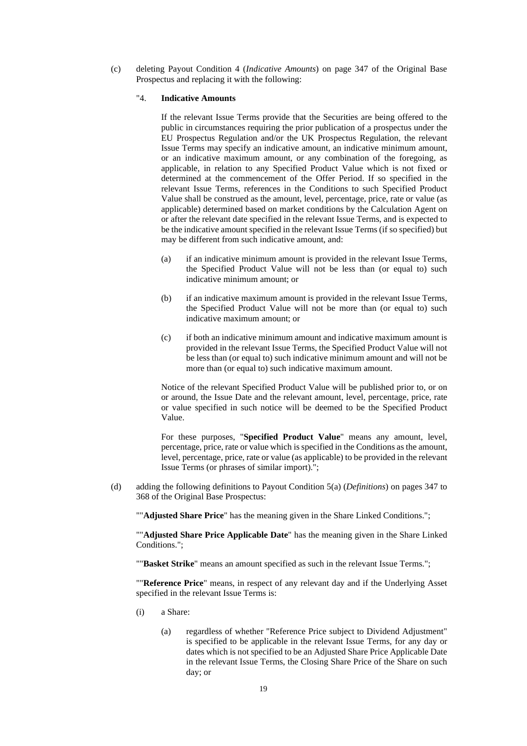(c) deleting Payout Condition 4 (*Indicative Amounts*) on page 347 of the Original Base Prospectus and replacing it with the following:

# "4. **Indicative Amounts**

If the relevant Issue Terms provide that the Securities are being offered to the public in circumstances requiring the prior publication of a prospectus under the EU Prospectus Regulation and/or the UK Prospectus Regulation, the relevant Issue Terms may specify an indicative amount, an indicative minimum amount, or an indicative maximum amount, or any combination of the foregoing, as applicable, in relation to any Specified Product Value which is not fixed or determined at the commencement of the Offer Period. If so specified in the relevant Issue Terms, references in the Conditions to such Specified Product Value shall be construed as the amount, level, percentage, price, rate or value (as applicable) determined based on market conditions by the Calculation Agent on or after the relevant date specified in the relevant Issue Terms, and is expected to be the indicative amount specified in the relevant Issue Terms (if so specified) but may be different from such indicative amount, and:

- (a) if an indicative minimum amount is provided in the relevant Issue Terms, the Specified Product Value will not be less than (or equal to) such indicative minimum amount; or
- (b) if an indicative maximum amount is provided in the relevant Issue Terms, the Specified Product Value will not be more than (or equal to) such indicative maximum amount; or
- (c) if both an indicative minimum amount and indicative maximum amount is provided in the relevant Issue Terms, the Specified Product Value will not be less than (or equal to) such indicative minimum amount and will not be more than (or equal to) such indicative maximum amount.

Notice of the relevant Specified Product Value will be published prior to, or on or around, the Issue Date and the relevant amount, level, percentage, price, rate or value specified in such notice will be deemed to be the Specified Product Value.

For these purposes, "**Specified Product Value**" means any amount, level, percentage, price, rate or value which is specified in the Conditions as the amount, level, percentage, price, rate or value (as applicable) to be provided in the relevant Issue Terms (or phrases of similar import).";

(d) adding the following definitions to Payout Condition 5(a) (*Definitions*) on pages 347 to 368 of the Original Base Prospectus:

""**Adjusted Share Price**" has the meaning given in the Share Linked Conditions.";

""**Adjusted Share Price Applicable Date**" has the meaning given in the Share Linked Conditions.";

""**Basket Strike**" means an amount specified as such in the relevant Issue Terms.";

""**Reference Price**" means, in respect of any relevant day and if the Underlying Asset specified in the relevant Issue Terms is:

- (i) a Share:
	- (a) regardless of whether "Reference Price subject to Dividend Adjustment" is specified to be applicable in the relevant Issue Terms, for any day or dates which is not specified to be an Adjusted Share Price Applicable Date in the relevant Issue Terms, the Closing Share Price of the Share on such day; or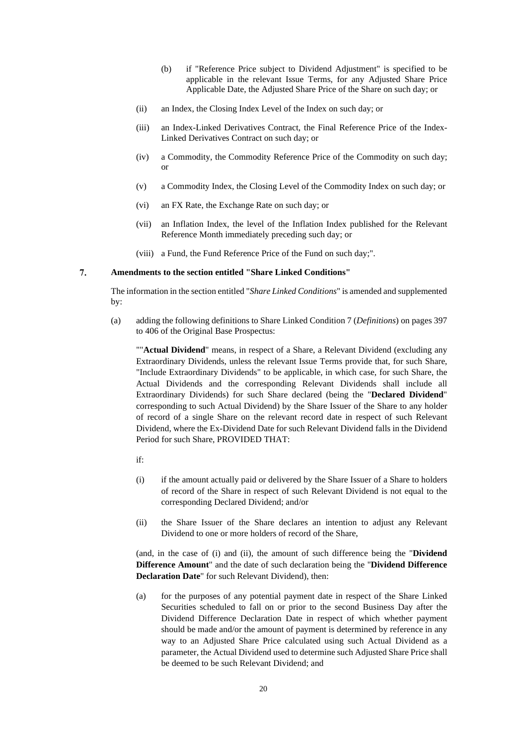- (b) if "Reference Price subject to Dividend Adjustment" is specified to be applicable in the relevant Issue Terms, for any Adjusted Share Price Applicable Date, the Adjusted Share Price of the Share on such day; or
- (ii) an Index, the Closing Index Level of the Index on such day; or
- (iii) an Index-Linked Derivatives Contract, the Final Reference Price of the Index-Linked Derivatives Contract on such day; or
- (iv) a Commodity, the Commodity Reference Price of the Commodity on such day; or
- (v) a Commodity Index, the Closing Level of the Commodity Index on such day; or
- (vi) an FX Rate, the Exchange Rate on such day; or
- (vii) an Inflation Index, the level of the Inflation Index published for the Relevant Reference Month immediately preceding such day; or
- (viii) a Fund, the Fund Reference Price of the Fund on such day;".

#### 7. **Amendments to the section entitled "Share Linked Conditions"**

The information in the section entitled "*Share Linked Conditions*" is amended and supplemented by:

(a) adding the following definitions to Share Linked Condition 7 (*Definitions*) on pages 397 to 406 of the Original Base Prospectus:

""**Actual Dividend**" means, in respect of a Share, a Relevant Dividend (excluding any Extraordinary Dividends, unless the relevant Issue Terms provide that, for such Share, "Include Extraordinary Dividends" to be applicable, in which case, for such Share, the Actual Dividends and the corresponding Relevant Dividends shall include all Extraordinary Dividends) for such Share declared (being the "**Declared Dividend**" corresponding to such Actual Dividend) by the Share Issuer of the Share to any holder of record of a single Share on the relevant record date in respect of such Relevant Dividend, where the Ex-Dividend Date for such Relevant Dividend falls in the Dividend Period for such Share, PROVIDED THAT:

- if:
- (i) if the amount actually paid or delivered by the Share Issuer of a Share to holders of record of the Share in respect of such Relevant Dividend is not equal to the corresponding Declared Dividend; and/or
- (ii) the Share Issuer of the Share declares an intention to adjust any Relevant Dividend to one or more holders of record of the Share,

(and, in the case of (i) and (ii), the amount of such difference being the "**Dividend Difference Amount**" and the date of such declaration being the "**Dividend Difference Declaration Date**" for such Relevant Dividend), then:

(a) for the purposes of any potential payment date in respect of the Share Linked Securities scheduled to fall on or prior to the second Business Day after the Dividend Difference Declaration Date in respect of which whether payment should be made and/or the amount of payment is determined by reference in any way to an Adjusted Share Price calculated using such Actual Dividend as a parameter, the Actual Dividend used to determine such Adjusted Share Price shall be deemed to be such Relevant Dividend; and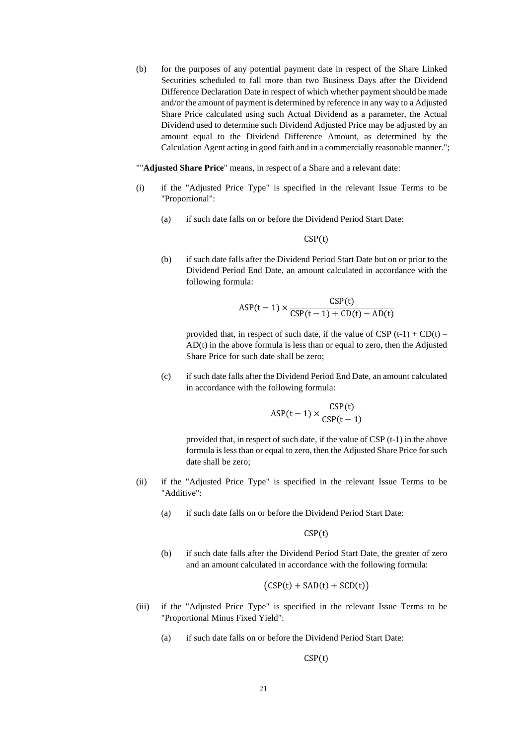(b) for the purposes of any potential payment date in respect of the Share Linked Securities scheduled to fall more than two Business Days after the Dividend Difference Declaration Date in respect of which whether payment should be made and/or the amount of payment is determined by reference in any way to a Adjusted Share Price calculated using such Actual Dividend as a parameter, the Actual Dividend used to determine such Dividend Adjusted Price may be adjusted by an amount equal to the Dividend Difference Amount, as determined by the Calculation Agent acting in good faith and in a commercially reasonable manner.";

""**Adjusted Share Price**" means, in respect of a Share and a relevant date:

- (i) if the "Adjusted Price Type" is specified in the relevant Issue Terms to be "Proportional":
	- (a) if such date falls on or before the Dividend Period Start Date:

CSP(t)

(b) if such date falls after the Dividend Period Start Date but on or prior to the Dividend Period End Date, an amount calculated in accordance with the following formula:

$$
\text{ASP}(t-1) \times \frac{\text{CSP}(t)}{\text{CSP}(t-1) + \text{CD}(t) - \text{AD}(t)}
$$

provided that, in respect of such date, if the value of CSP  $(t-1)$  + CD $(t)$  – AD(t) in the above formula is less than or equal to zero, then the Adjusted Share Price for such date shall be zero;

(c) if such date falls after the Dividend Period End Date, an amount calculated in accordance with the following formula:

$$
\text{ASP}(t-1) \times \frac{\text{CSP}(t)}{\text{CSP}(t-1)}
$$

provided that, in respect of such date, if the value of CSP (t-1) in the above formula is less than or equal to zero, then the Adjusted Share Price for such date shall be zero;

- (ii) if the "Adjusted Price Type" is specified in the relevant Issue Terms to be "Additive":
	- (a) if such date falls on or before the Dividend Period Start Date:

 $CSP(t)$ 

(b) if such date falls after the Dividend Period Start Date, the greater of zero and an amount calculated in accordance with the following formula:

$$
(CSP(t) + SAD(t) + SCD(t))
$$

- (iii) if the "Adjusted Price Type" is specified in the relevant Issue Terms to be "Proportional Minus Fixed Yield":
	- (a) if such date falls on or before the Dividend Period Start Date:

 $CSP(t)$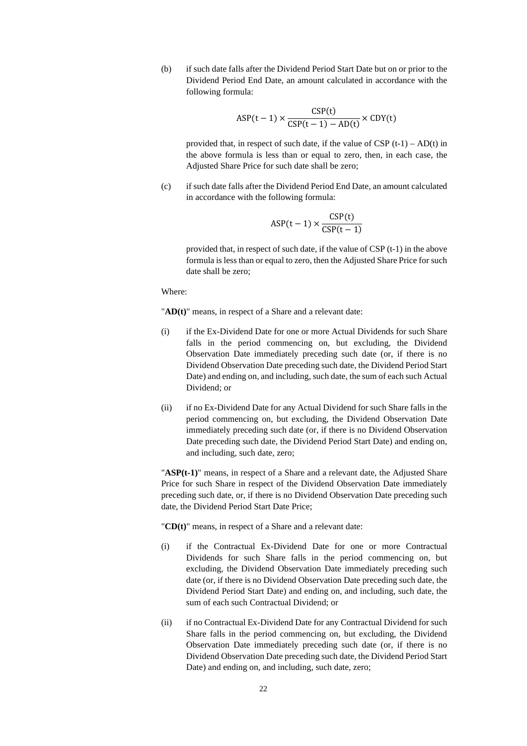(b) if such date falls after the Dividend Period Start Date but on or prior to the Dividend Period End Date, an amount calculated in accordance with the following formula:

$$
\text{ASP}(t-1) \times \frac{\text{CSP}(t)}{\text{CSP}(t-1) - \text{AD}(t)} \times \text{CDY}(t)
$$

provided that, in respect of such date, if the value of  $CSP(t-1) - AD(t)$  in the above formula is less than or equal to zero, then, in each case, the Adjusted Share Price for such date shall be zero;

(c) if such date falls after the Dividend Period End Date, an amount calculated in accordance with the following formula:

$$
\text{ASP}(t-1) \times \frac{\text{CSP}(t)}{\text{CSP}(t-1)}
$$

provided that, in respect of such date, if the value of CSP (t-1) in the above formula is less than or equal to zero, then the Adjusted Share Price for such date shall be zero;

Where:

"**AD(t)**" means, in respect of a Share and a relevant date:

- (i) if the Ex-Dividend Date for one or more Actual Dividends for such Share falls in the period commencing on, but excluding, the Dividend Observation Date immediately preceding such date (or, if there is no Dividend Observation Date preceding such date, the Dividend Period Start Date) and ending on, and including, such date, the sum of each such Actual Dividend; or
- (ii) if no Ex-Dividend Date for any Actual Dividend for such Share falls in the period commencing on, but excluding, the Dividend Observation Date immediately preceding such date (or, if there is no Dividend Observation Date preceding such date, the Dividend Period Start Date) and ending on, and including, such date, zero;

"**ASP(t-1)**" means, in respect of a Share and a relevant date, the Adjusted Share Price for such Share in respect of the Dividend Observation Date immediately preceding such date, or, if there is no Dividend Observation Date preceding such date, the Dividend Period Start Date Price;

"**CD(t)**" means, in respect of a Share and a relevant date:

- (i) if the Contractual Ex-Dividend Date for one or more Contractual Dividends for such Share falls in the period commencing on, but excluding, the Dividend Observation Date immediately preceding such date (or, if there is no Dividend Observation Date preceding such date, the Dividend Period Start Date) and ending on, and including, such date, the sum of each such Contractual Dividend; or
- (ii) if no Contractual Ex-Dividend Date for any Contractual Dividend for such Share falls in the period commencing on, but excluding, the Dividend Observation Date immediately preceding such date (or, if there is no Dividend Observation Date preceding such date, the Dividend Period Start Date) and ending on, and including, such date, zero;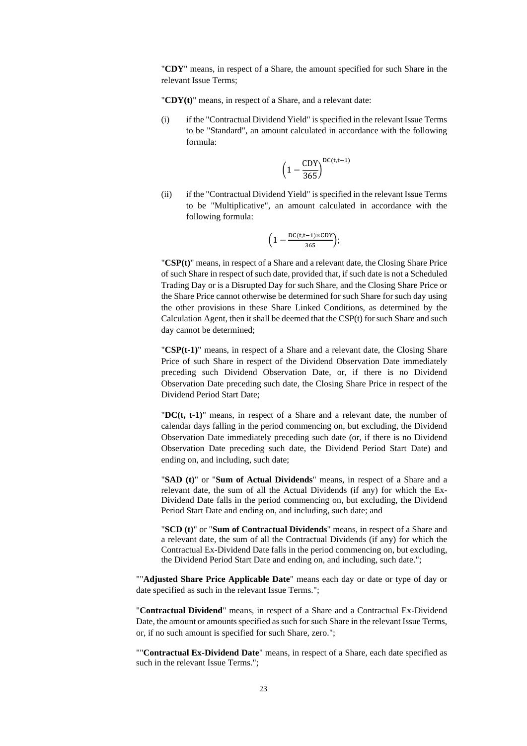"**CDY**" means, in respect of a Share, the amount specified for such Share in the relevant Issue Terms;

"**CDY(t)**" means, in respect of a Share, and a relevant date:

(i) if the "Contractual Dividend Yield" is specified in the relevant Issue Terms to be "Standard", an amount calculated in accordance with the following formula:

$$
\left(1-\frac{CDY}{365}\right)^{DC(t,t-1)}
$$

(ii) if the "Contractual Dividend Yield" is specified in the relevant Issue Terms to be "Multiplicative", an amount calculated in accordance with the following formula:

$$
\Big(1-\tfrac{\text{DC}(t,t-1)\times \text{CDY}}{365}\Big);
$$

"**CSP(t)**" means, in respect of a Share and a relevant date, the Closing Share Price of such Share in respect of such date, provided that, if such date is not a Scheduled Trading Day or is a Disrupted Day for such Share, and the Closing Share Price or the Share Price cannot otherwise be determined for such Share for such day using the other provisions in these Share Linked Conditions, as determined by the Calculation Agent, then it shall be deemed that the CSP(t) for such Share and such day cannot be determined;

"**CSP(t-1)**" means, in respect of a Share and a relevant date, the Closing Share Price of such Share in respect of the Dividend Observation Date immediately preceding such Dividend Observation Date, or, if there is no Dividend Observation Date preceding such date, the Closing Share Price in respect of the Dividend Period Start Date;

"**DC(t, t-1)**" means, in respect of a Share and a relevant date, the number of calendar days falling in the period commencing on, but excluding, the Dividend Observation Date immediately preceding such date (or, if there is no Dividend Observation Date preceding such date, the Dividend Period Start Date) and ending on, and including, such date;

"**SAD (t)**" or "**Sum of Actual Dividends**" means, in respect of a Share and a relevant date, the sum of all the Actual Dividends (if any) for which the Ex-Dividend Date falls in the period commencing on, but excluding, the Dividend Period Start Date and ending on, and including, such date; and

"**SCD (t)**" or "**Sum of Contractual Dividends**" means, in respect of a Share and a relevant date, the sum of all the Contractual Dividends (if any) for which the Contractual Ex-Dividend Date falls in the period commencing on, but excluding, the Dividend Period Start Date and ending on, and including, such date.";

""**Adjusted Share Price Applicable Date**" means each day or date or type of day or date specified as such in the relevant Issue Terms.";

"**Contractual Dividend**" means, in respect of a Share and a Contractual Ex-Dividend Date, the amount or amounts specified as such for such Share in the relevant Issue Terms, or, if no such amount is specified for such Share, zero.";

""**Contractual Ex-Dividend Date**" means, in respect of a Share, each date specified as such in the relevant Issue Terms.";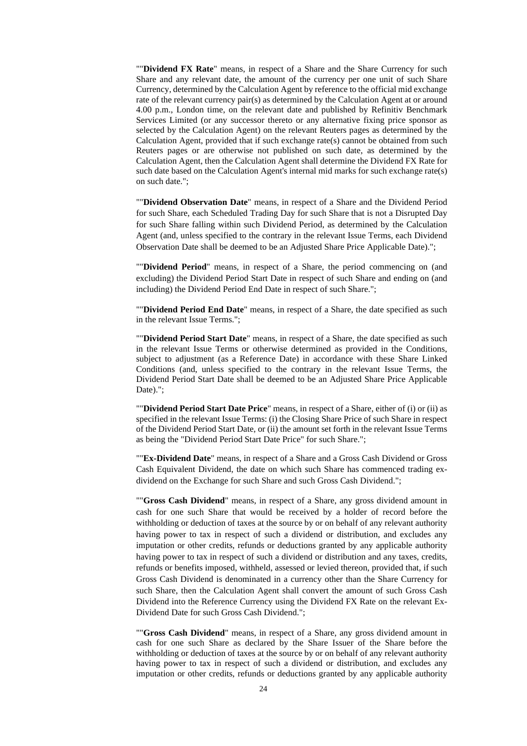""**Dividend FX Rate**" means, in respect of a Share and the Share Currency for such Share and any relevant date, the amount of the currency per one unit of such Share Currency, determined by the Calculation Agent by reference to the official mid exchange rate of the relevant currency pair(s) as determined by the Calculation Agent at or around 4.00 p.m., London time, on the relevant date and published by Refinitiv Benchmark Services Limited (or any successor thereto or any alternative fixing price sponsor as selected by the Calculation Agent) on the relevant Reuters pages as determined by the Calculation Agent, provided that if such exchange rate(s) cannot be obtained from such Reuters pages or are otherwise not published on such date, as determined by the Calculation Agent, then the Calculation Agent shall determine the Dividend FX Rate for such date based on the Calculation Agent's internal mid marks for such exchange rate(s) on such date.";

""**Dividend Observation Date**" means, in respect of a Share and the Dividend Period for such Share, each Scheduled Trading Day for such Share that is not a Disrupted Day for such Share falling within such Dividend Period, as determined by the Calculation Agent (and, unless specified to the contrary in the relevant Issue Terms, each Dividend Observation Date shall be deemed to be an Adjusted Share Price Applicable Date).";

""**Dividend Period**" means, in respect of a Share, the period commencing on (and excluding) the Dividend Period Start Date in respect of such Share and ending on (and including) the Dividend Period End Date in respect of such Share.";

""**Dividend Period End Date**" means, in respect of a Share, the date specified as such in the relevant Issue Terms.";

""**Dividend Period Start Date**" means, in respect of a Share, the date specified as such in the relevant Issue Terms or otherwise determined as provided in the Conditions, subject to adjustment (as a Reference Date) in accordance with these Share Linked Conditions (and, unless specified to the contrary in the relevant Issue Terms, the Dividend Period Start Date shall be deemed to be an Adjusted Share Price Applicable Date).";

""**Dividend Period Start Date Price**" means, in respect of a Share, either of (i) or (ii) as specified in the relevant Issue Terms: (i) the Closing Share Price of such Share in respect of the Dividend Period Start Date, or (ii) the amount set forth in the relevant Issue Terms as being the "Dividend Period Start Date Price" for such Share.";

""**Ex-Dividend Date**" means, in respect of a Share and a Gross Cash Dividend or Gross Cash Equivalent Dividend, the date on which such Share has commenced trading exdividend on the Exchange for such Share and such Gross Cash Dividend.";

""**Gross Cash Dividend**" means, in respect of a Share, any gross dividend amount in cash for one such Share that would be received by a holder of record before the withholding or deduction of taxes at the source by or on behalf of any relevant authority having power to tax in respect of such a dividend or distribution, and excludes any imputation or other credits, refunds or deductions granted by any applicable authority having power to tax in respect of such a dividend or distribution and any taxes, credits, refunds or benefits imposed, withheld, assessed or levied thereon, provided that, if such Gross Cash Dividend is denominated in a currency other than the Share Currency for such Share, then the Calculation Agent shall convert the amount of such Gross Cash Dividend into the Reference Currency using the Dividend FX Rate on the relevant Ex-Dividend Date for such Gross Cash Dividend.";

""**Gross Cash Dividend**" means, in respect of a Share, any gross dividend amount in cash for one such Share as declared by the Share Issuer of the Share before the withholding or deduction of taxes at the source by or on behalf of any relevant authority having power to tax in respect of such a dividend or distribution, and excludes any imputation or other credits, refunds or deductions granted by any applicable authority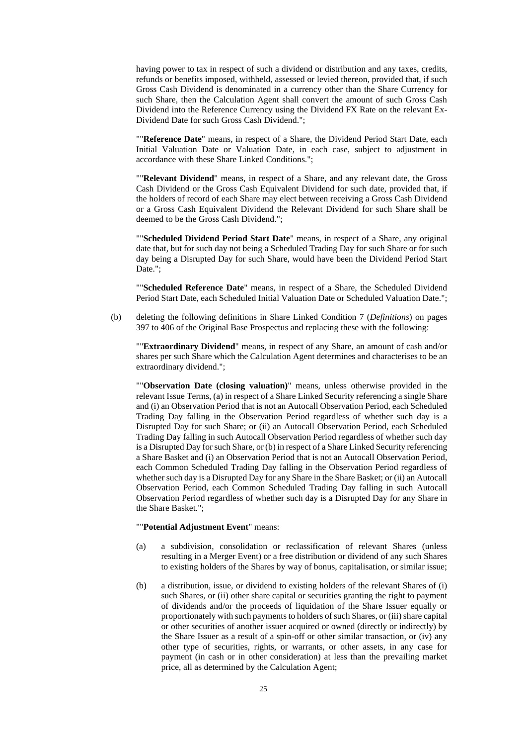having power to tax in respect of such a dividend or distribution and any taxes, credits, refunds or benefits imposed, withheld, assessed or levied thereon, provided that, if such Gross Cash Dividend is denominated in a currency other than the Share Currency for such Share, then the Calculation Agent shall convert the amount of such Gross Cash Dividend into the Reference Currency using the Dividend FX Rate on the relevant Ex-Dividend Date for such Gross Cash Dividend.";

""**Reference Date**" means, in respect of a Share, the Dividend Period Start Date, each Initial Valuation Date or Valuation Date, in each case, subject to adjustment in accordance with these Share Linked Conditions.";

""**Relevant Dividend**" means, in respect of a Share, and any relevant date, the Gross Cash Dividend or the Gross Cash Equivalent Dividend for such date, provided that, if the holders of record of each Share may elect between receiving a Gross Cash Dividend or a Gross Cash Equivalent Dividend the Relevant Dividend for such Share shall be deemed to be the Gross Cash Dividend.";

""**Scheduled Dividend Period Start Date**" means, in respect of a Share, any original date that, but for such day not being a Scheduled Trading Day for such Share or for such day being a Disrupted Day for such Share, would have been the Dividend Period Start Date.":

""**Scheduled Reference Date**" means, in respect of a Share, the Scheduled Dividend Period Start Date, each Scheduled Initial Valuation Date or Scheduled Valuation Date.";

(b) deleting the following definitions in Share Linked Condition 7 (*Definitions*) on pages 397 to 406 of the Original Base Prospectus and replacing these with the following:

""**Extraordinary Dividend**" means, in respect of any Share, an amount of cash and/or shares per such Share which the Calculation Agent determines and characterises to be an extraordinary dividend.";

""**Observation Date (closing valuation)**" means, unless otherwise provided in the relevant Issue Terms, (a) in respect of a Share Linked Security referencing a single Share and (i) an Observation Period that is not an Autocall Observation Period, each Scheduled Trading Day falling in the Observation Period regardless of whether such day is a Disrupted Day for such Share; or (ii) an Autocall Observation Period, each Scheduled Trading Day falling in such Autocall Observation Period regardless of whether such day is a Disrupted Day for such Share, or (b) in respect of a Share Linked Security referencing a Share Basket and (i) an Observation Period that is not an Autocall Observation Period, each Common Scheduled Trading Day falling in the Observation Period regardless of whether such day is a Disrupted Day for any Share in the Share Basket; or (ii) an Autocall Observation Period, each Common Scheduled Trading Day falling in such Autocall Observation Period regardless of whether such day is a Disrupted Day for any Share in the Share Basket.";

## ""**Potential Adjustment Event**" means:

- (a) a subdivision, consolidation or reclassification of relevant Shares (unless resulting in a Merger Event) or a free distribution or dividend of any such Shares to existing holders of the Shares by way of bonus, capitalisation, or similar issue;
- (b) a distribution, issue, or dividend to existing holders of the relevant Shares of (i) such Shares, or (ii) other share capital or securities granting the right to payment of dividends and/or the proceeds of liquidation of the Share Issuer equally or proportionately with such payments to holders of such Shares, or (iii) share capital or other securities of another issuer acquired or owned (directly or indirectly) by the Share Issuer as a result of a spin-off or other similar transaction, or (iv) any other type of securities, rights, or warrants, or other assets, in any case for payment (in cash or in other consideration) at less than the prevailing market price, all as determined by the Calculation Agent;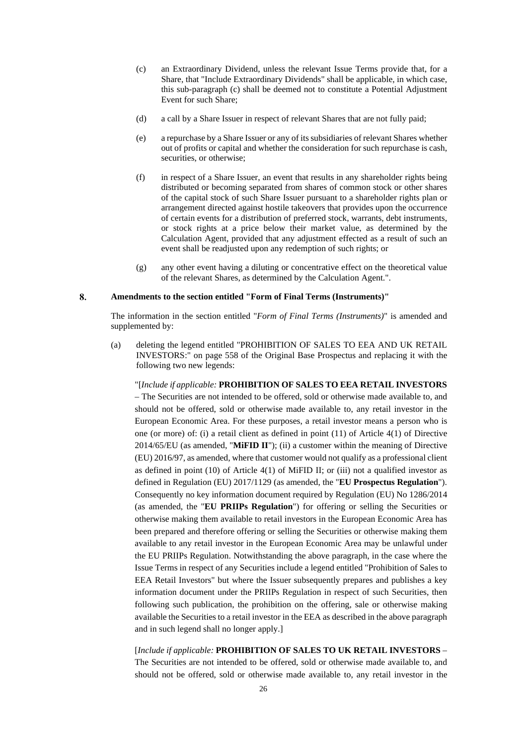- (c) an Extraordinary Dividend, unless the relevant Issue Terms provide that, for a Share, that "Include Extraordinary Dividends" shall be applicable, in which case, this sub-paragraph (c) shall be deemed not to constitute a Potential Adjustment Event for such Share;
- (d) a call by a Share Issuer in respect of relevant Shares that are not fully paid;
- (e) a repurchase by a Share Issuer or any of its subsidiaries of relevant Shares whether out of profits or capital and whether the consideration for such repurchase is cash, securities, or otherwise;
- (f) in respect of a Share Issuer, an event that results in any shareholder rights being distributed or becoming separated from shares of common stock or other shares of the capital stock of such Share Issuer pursuant to a shareholder rights plan or arrangement directed against hostile takeovers that provides upon the occurrence of certain events for a distribution of preferred stock, warrants, debt instruments, or stock rights at a price below their market value, as determined by the Calculation Agent, provided that any adjustment effected as a result of such an event shall be readjusted upon any redemption of such rights; or
- (g) any other event having a diluting or concentrative effect on the theoretical value of the relevant Shares, as determined by the Calculation Agent.".

#### 8. **Amendments to the section entitled "Form of Final Terms (Instruments)"**

The information in the section entitled "*Form of Final Terms (Instruments)*" is amended and supplemented by:

(a) deleting the legend entitled "PROHIBITION OF SALES TO EEA AND UK RETAIL INVESTORS:" on page 558 of the Original Base Prospectus and replacing it with the following two new legends:

"[*Include if applicable:* **PROHIBITION OF SALES TO EEA RETAIL INVESTORS** – The Securities are not intended to be offered, sold or otherwise made available to, and should not be offered, sold or otherwise made available to, any retail investor in the European Economic Area. For these purposes, a retail investor means a person who is one (or more) of: (i) a retail client as defined in point (11) of Article 4(1) of Directive 2014/65/EU (as amended, "**MiFID II**"); (ii) a customer within the meaning of Directive (EU) 2016/97, as amended, where that customer would not qualify as a professional client as defined in point  $(10)$  of Article  $4(1)$  of MiFID II; or  $(iii)$  not a qualified investor as defined in Regulation (EU) 2017/1129 (as amended, the "**EU Prospectus Regulation**"). Consequently no key information document required by Regulation (EU) No 1286/2014 (as amended, the "**EU PRIIPs Regulation**") for offering or selling the Securities or otherwise making them available to retail investors in the European Economic Area has been prepared and therefore offering or selling the Securities or otherwise making them available to any retail investor in the European Economic Area may be unlawful under the EU PRIIPs Regulation. Notwithstanding the above paragraph, in the case where the Issue Terms in respect of any Securities include a legend entitled "Prohibition of Sales to EEA Retail Investors" but where the Issuer subsequently prepares and publishes a key information document under the PRIIPs Regulation in respect of such Securities, then following such publication, the prohibition on the offering, sale or otherwise making available the Securities to a retail investor in the EEA as described in the above paragraph and in such legend shall no longer apply.]

# [*Include if applicable:* **PROHIBITION OF SALES TO UK RETAIL INVESTORS** –

The Securities are not intended to be offered, sold or otherwise made available to, and should not be offered, sold or otherwise made available to, any retail investor in the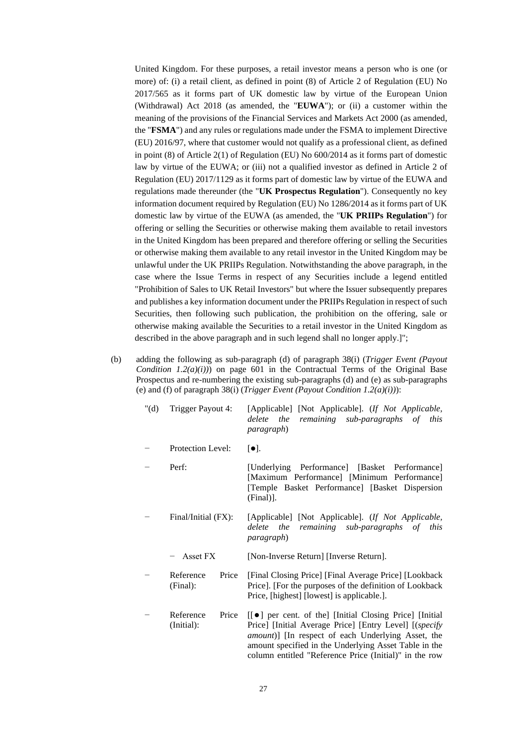United Kingdom. For these purposes, a retail investor means a person who is one (or more) of: (i) a retail client, as defined in point (8) of Article 2 of Regulation (EU) No 2017/565 as it forms part of UK domestic law by virtue of the European Union (Withdrawal) Act 2018 (as amended, the "**EUWA**"); or (ii) a customer within the meaning of the provisions of the Financial Services and Markets Act 2000 (as amended, the "**FSMA**") and any rules or regulations made under the FSMA to implement Directive (EU) 2016/97, where that customer would not qualify as a professional client, as defined in point (8) of Article 2(1) of Regulation (EU) No 600/2014 as it forms part of domestic law by virtue of the EUWA; or (iii) not a qualified investor as defined in Article 2 of Regulation (EU) 2017/1129 as it forms part of domestic law by virtue of the EUWA and regulations made thereunder (the "**UK Prospectus Regulation**"). Consequently no key information document required by Regulation (EU) No 1286/2014 as it forms part of UK domestic law by virtue of the EUWA (as amended, the "**UK PRIIPs Regulation**") for offering or selling the Securities or otherwise making them available to retail investors in the United Kingdom has been prepared and therefore offering or selling the Securities or otherwise making them available to any retail investor in the United Kingdom may be unlawful under the UK PRIIPs Regulation. Notwithstanding the above paragraph, in the case where the Issue Terms in respect of any Securities include a legend entitled "Prohibition of Sales to UK Retail Investors" but where the Issuer subsequently prepares and publishes a key information document under the PRIIPs Regulation in respect of such Securities, then following such publication, the prohibition on the offering, sale or otherwise making available the Securities to a retail investor in the United Kingdom as described in the above paragraph and in such legend shall no longer apply.]";

(b) adding the following as sub-paragraph (d) of paragraph 38(i) (*Trigger Event (Payout Condition 1.2(a)(i))* on page 601 in the Contractual Terms of the Original Base Prospectus and re-numbering the existing sub-paragraphs (d) and (e) as sub-paragraphs (e) and (f) of paragraph 38(i) (*Trigger Event (Payout Condition 1.2(a)(i))*):

| " $(d)$ | Trigger Payout 4:                | [Applicable] [Not Applicable]. (If Not Applicable,<br>the<br>remaining<br>sub-paragraphs of<br>delete<br>this<br><i>paragraph</i> )                                                                                                                                                                  |
|---------|----------------------------------|------------------------------------------------------------------------------------------------------------------------------------------------------------------------------------------------------------------------------------------------------------------------------------------------------|
|         | Protection Level:                | $[\bullet]$ .                                                                                                                                                                                                                                                                                        |
|         | Perf:                            | [Underlying Performance] [Basket Performance]<br>[Maximum Performance] [Minimum Performance]<br>[Temple Basket Performance] [Basket Dispersion]<br>$(Final)$ ].                                                                                                                                      |
|         | Final/Initial (FX):              | [Applicable] [Not Applicable]. (If Not Applicable,<br>the remaining sub-paragraphs of<br>delete<br>this<br><i>paragraph</i> )                                                                                                                                                                        |
|         | Asset FX                         | [Non-Inverse Return] [Inverse Return].                                                                                                                                                                                                                                                               |
|         | Price<br>Reference<br>(Final):   | [Final Closing Price] [Final Average Price] [Lookback]<br>Price]. [For the purposes of the definition of Lookback<br>Price, [highest] [lowest] is applicable.].                                                                                                                                      |
|         | Reference<br>Price<br>(Initial): | [[ $\bullet$ ] per cent. of the] [Initial Closing Price] [Initial<br>Price] [Initial Average Price] [Entry Level] [(specify<br>amount)] [In respect of each Underlying Asset, the<br>amount specified in the Underlying Asset Table in the<br>column entitled "Reference Price (Initial)" in the row |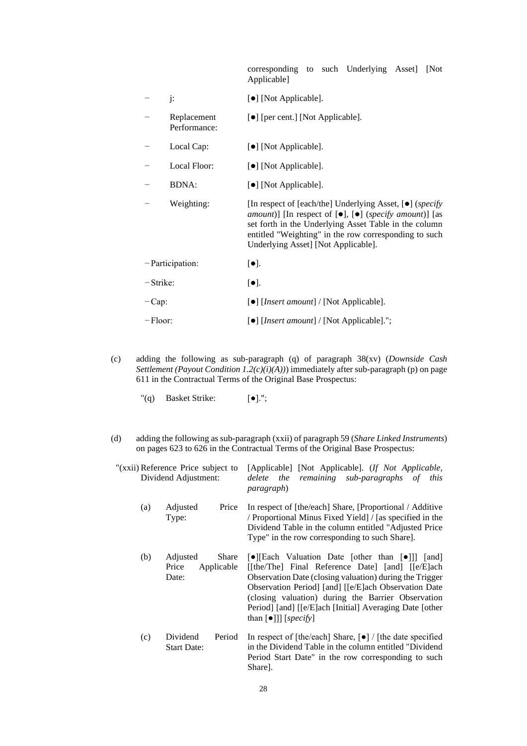corresponding to such Underlying Asset] [Not Applicable]

|                 | j:                          | [•] [Not Applicable].                                                                                                                                                                                                                                                                                                           |  |  |
|-----------------|-----------------------------|---------------------------------------------------------------------------------------------------------------------------------------------------------------------------------------------------------------------------------------------------------------------------------------------------------------------------------|--|--|
|                 | Replacement<br>Performance: | [●] [per cent.] [Not Applicable].                                                                                                                                                                                                                                                                                               |  |  |
|                 | Local Cap:                  | [•] [Not Applicable].                                                                                                                                                                                                                                                                                                           |  |  |
|                 | Local Floor:                | [ $\bullet$ ] [Not Applicable].                                                                                                                                                                                                                                                                                                 |  |  |
|                 | <b>BDNA:</b>                | [•] [Not Applicable].                                                                                                                                                                                                                                                                                                           |  |  |
|                 | Weighting:                  | [In respect of [each/the] Underlying Asset, $[\bullet]$ ( <i>specify</i> )<br><i>amount</i> )] [In respect of $[\bullet]$ , $[\bullet]$ ( <i>specify amount</i> )] [as<br>set forth in the Underlying Asset Table in the column<br>entitled "Weighting" in the row corresponding to such<br>Underlying Asset] [Not Applicable]. |  |  |
| -Participation: |                             | $[\bullet]$ .                                                                                                                                                                                                                                                                                                                   |  |  |
| -Strike:        |                             | $[\bullet]$ .                                                                                                                                                                                                                                                                                                                   |  |  |
| $-Cap.$         |                             | [ $\bullet$ ] [ <i>Insert amount</i> ] / [Not Applicable].                                                                                                                                                                                                                                                                      |  |  |
| $-Floor$ :      |                             | [•] [ <i>Insert amount</i> ] / [Not Applicable].";                                                                                                                                                                                                                                                                              |  |  |

- (c) adding the following as sub-paragraph (q) of paragraph 38(xv) (*Downside Cash Settlement (Payout Condition 1.2(c)(i)(A))*) immediately after sub-paragraph (p) on page 611 in the Contractual Terms of the Original Base Prospectus:
	- "(q) Basket Strike: [●].";
- (d) adding the following as sub-paragraph (xxii) of paragraph 59 (*Share Linked Instruments*) on pages 623 to 626 in the Contractual Terms of the Original Base Prospectus:

| "(xxii) Reference Price subject to<br>Dividend Adjustment: | [Applicable] [Not Applicable]. (If Not Applicable,<br>delete the remaining sub-paragraphs of this<br><i>paragraph</i> )                                                                                                                                                                                                                                                                                                      |
|------------------------------------------------------------|------------------------------------------------------------------------------------------------------------------------------------------------------------------------------------------------------------------------------------------------------------------------------------------------------------------------------------------------------------------------------------------------------------------------------|
| Adjusted                                                   | In respect of [the/each] Share, [Proportional / Additive                                                                                                                                                                                                                                                                                                                                                                     |
| Price                                                      | / Proportional Minus Fixed Yield] / [as specified in the                                                                                                                                                                                                                                                                                                                                                                     |
| (a)                                                        | Dividend Table in the column entitled "Adjusted Price"                                                                                                                                                                                                                                                                                                                                                                       |
| Type:                                                      | Type" in the row corresponding to such Share.                                                                                                                                                                                                                                                                                                                                                                                |
| (b)<br>Adjusted<br>Share<br>Applicable<br>Price<br>Date:   | $\lceil \bullet \rceil$ [Each Valuation Date [other than $\lceil \bullet \rceil$ ] [and]<br>[[the/The] Final Reference Date] [and] [[e/E]ach<br>Observation Date (closing valuation) during the Trigger<br>Observation Period] [and] [[e/E]ach Observation Date<br>(closing valuation) during the Barrier Observation<br>Period] [and] [[e/E]ach [Initial] Averaging Date [other<br>than $\lceil \bullet \rceil$ ] [specify] |
| Dividend                                                   | In respect of [the/each] Share, $\lceil \bullet \rceil$ / [the date specified                                                                                                                                                                                                                                                                                                                                                |
| Period                                                     | in the Dividend Table in the column entitled "Dividend"                                                                                                                                                                                                                                                                                                                                                                      |
| (c)                                                        | Period Start Date" in the row corresponding to such                                                                                                                                                                                                                                                                                                                                                                          |
| <b>Start Date:</b>                                         | Share].                                                                                                                                                                                                                                                                                                                                                                                                                      |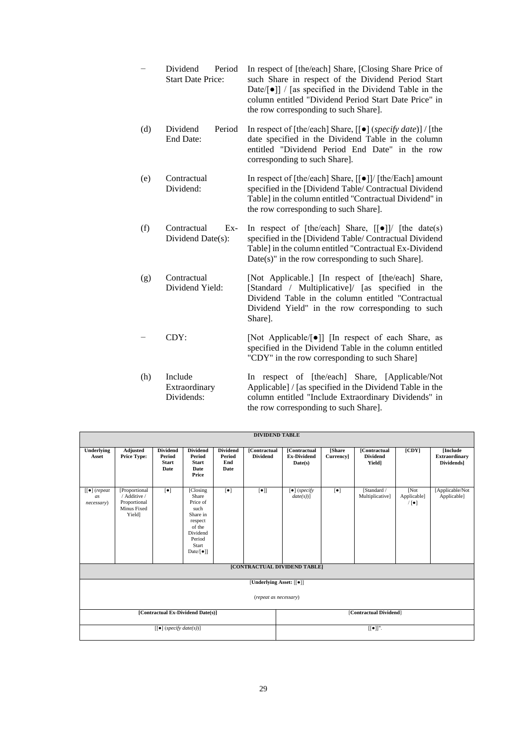Dividend Period Start Date Price: In respect of [the/each] Share, [Closing Share Price of such Share in respect of the Dividend Period Start Date/[●]] / [as specified in the Dividend Table in the column entitled "Dividend Period Start Date Price" in the row corresponding to such Share]. (d) Dividend Period End Date: In respect of [the/each] Share, [[●] (*specify date*)] / [the date specified in the Dividend Table in the column entitled "Dividend Period End Date" in the row corresponding to such Share]. (e) Contractual Dividend: In respect of [the/each] Share, [[●]]/ [the/Each] amount specified in the [Dividend Table/ Contractual Dividend Table] in the column entitled "Contractual Dividend" in the row corresponding to such Share]. (f) Contractual Ex-Dividend Date(s): In respect of  $[the/each]$  Share,  $[0]$  [the date(s) specified in the [Dividend Table/ Contractual Dividend Table] in the column entitled "Contractual Ex-Dividend Date(s)" in the row corresponding to such Share]. (g) Contractual Dividend Yield: [Not Applicable.] [In respect of [the/each] Share, [Standard / Multiplicative]/ [as specified in the Dividend Table in the column entitled "Contractual Dividend Yield" in the row corresponding to such Share]. − CDY: [Not Applicable/[●]] [In respect of each Share, as specified in the Dividend Table in the column entitled "CDY" in the row corresponding to such Share] (h) Include Extraordinary Dividends: In respect of [the/each] Share, [Applicable/Not Applicable] / [as specified in the Dividend Table in the column entitled "Include Extraordinary Dividends" in

the row corresponding to such Share].

|                                          | <b>DIVIDEND TABLE</b>                                                  |                                                          |                                                                                                                               |                                                 |                                        |                                                  |                                    |                                                  |                              |                                                       |
|------------------------------------------|------------------------------------------------------------------------|----------------------------------------------------------|-------------------------------------------------------------------------------------------------------------------------------|-------------------------------------------------|----------------------------------------|--------------------------------------------------|------------------------------------|--------------------------------------------------|------------------------------|-------------------------------------------------------|
| Underlying<br>Asset                      | Adjusted<br><b>Price Type:</b>                                         | <b>Dividend</b><br>Period<br><b>Start</b><br><b>Date</b> | <b>Dividend</b><br>Period<br><b>Start</b><br><b>Date</b><br>Price                                                             | <b>Dividend</b><br>Period<br>End<br><b>Date</b> | <b>[Contractual</b><br><b>Dividend</b> | [Contractual<br><b>Ex-Dividend</b><br>Date(s)    | <b>[Share</b><br><b>Currency</b> ] | <b>[Contractual</b><br><b>Dividend</b><br>Yield1 | [CDY]                        | [Include]<br><b>Extraordinary</b><br><b>Dividends</b> |
| $[[\bullet]$ (repeat<br>as<br>necessary) | [Proportional<br>/ Additive /<br>Proportional<br>Minus Fixed<br>Yieldl | $\lbrack \bullet \rbrack$                                | [Closing]<br>Share<br>Price of<br>such<br>Share in<br>respect<br>of the<br>Dividend<br>Period<br>Start<br>Date/ $[\bullet]$ ] | $\lbrack \bullet \rbrack$                       | $\lbrack \bullet \rbrack \rbrack$      | $\lceil \bullet \rceil$ (specify<br>$date(s))$ ] | $\lbrack \bullet \rbrack$          | [Standard /<br>Multiplicative]                   | [Not]<br>Applicable]<br>/[•] | [Applicable/Not<br>Applicable]                        |
| [CONTRACTUAL DIVIDEND TABLE]             |                                                                        |                                                          |                                                                                                                               |                                                 |                                        |                                                  |                                    |                                                  |                              |                                                       |
|                                          | [Underlying Asset: [[ $\bullet$ ]]                                     |                                                          |                                                                                                                               |                                                 |                                        |                                                  |                                    |                                                  |                              |                                                       |
| (repeat as necessary)                    |                                                                        |                                                          |                                                                                                                               |                                                 |                                        |                                                  |                                    |                                                  |                              |                                                       |
|                                          |                                                                        |                                                          | [Contractual Ex-Dividend Date(s)]                                                                                             |                                                 |                                        |                                                  |                                    | [Contractual Dividend]                           |                              |                                                       |
|                                          | $[[\bullet]]$ ".<br>$\lceil \cdot \rceil$ (specify date(s))]           |                                                          |                                                                                                                               |                                                 |                                        |                                                  |                                    |                                                  |                              |                                                       |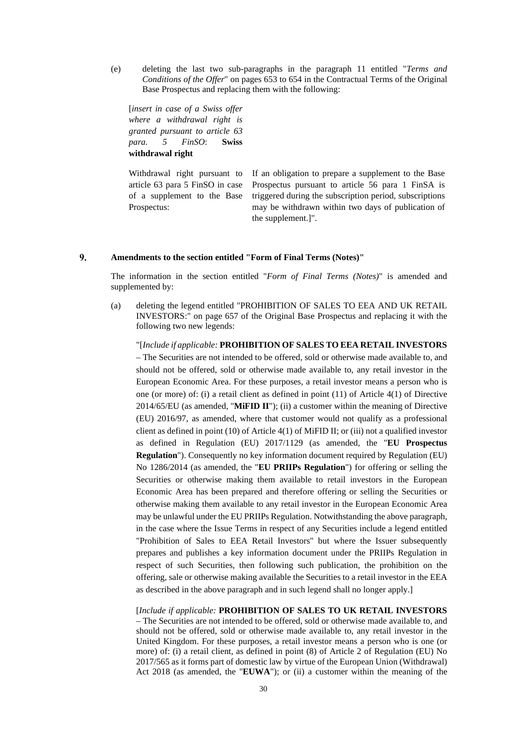(e) deleting the last two sub-paragraphs in the paragraph 11 entitled "*Terms and Conditions of the Offer*" on pages 653 to 654 in the Contractual Terms of the Original Base Prospectus and replacing them with the following:

[*insert in case of a Swiss offer where a withdrawal right is granted pursuant to article 63 para. 5 FinSO*: **Swiss withdrawal right**

Withdrawal right pursuant to article 63 para 5 FinSO in case of a supplement to the Base Prospectus:

If an obligation to prepare a supplement to the Base Prospectus pursuant to article 56 para 1 FinSA is triggered during the subscription period, subscriptions may be withdrawn within two days of publication of the supplement.]".

#### 9. **Amendments to the section entitled "Form of Final Terms (Notes)"**

The information in the section entitled "*Form of Final Terms (Notes)*" is amended and supplemented by:

(a) deleting the legend entitled "PROHIBITION OF SALES TO EEA AND UK RETAIL INVESTORS:" on page 657 of the Original Base Prospectus and replacing it with the following two new legends:

"[*Include if applicable:* **PROHIBITION OF SALES TO EEA RETAIL INVESTORS** – The Securities are not intended to be offered, sold or otherwise made available to, and should not be offered, sold or otherwise made available to, any retail investor in the European Economic Area. For these purposes, a retail investor means a person who is one (or more) of: (i) a retail client as defined in point (11) of Article 4(1) of Directive 2014/65/EU (as amended, "**MiFID II**"); (ii) a customer within the meaning of Directive (EU) 2016/97, as amended, where that customer would not qualify as a professional client as defined in point (10) of Article 4(1) of MiFID II; or (iii) not a qualified investor as defined in Regulation (EU) 2017/1129 (as amended, the "**EU Prospectus Regulation**"). Consequently no key information document required by Regulation (EU) No 1286/2014 (as amended, the "**EU PRIIPs Regulation**") for offering or selling the Securities or otherwise making them available to retail investors in the European Economic Area has been prepared and therefore offering or selling the Securities or otherwise making them available to any retail investor in the European Economic Area may be unlawful under the EU PRIIPs Regulation. Notwithstanding the above paragraph, in the case where the Issue Terms in respect of any Securities include a legend entitled "Prohibition of Sales to EEA Retail Investors" but where the Issuer subsequently prepares and publishes a key information document under the PRIIPs Regulation in respect of such Securities, then following such publication, the prohibition on the offering, sale or otherwise making available the Securities to a retail investor in the EEA as described in the above paragraph and in such legend shall no longer apply.]

[*Include if applicable:* **PROHIBITION OF SALES TO UK RETAIL INVESTORS** – The Securities are not intended to be offered, sold or otherwise made available to, and should not be offered, sold or otherwise made available to, any retail investor in the United Kingdom. For these purposes, a retail investor means a person who is one (or more) of: (i) a retail client, as defined in point (8) of Article 2 of Regulation (EU) No 2017/565 as it forms part of domestic law by virtue of the European Union (Withdrawal) Act 2018 (as amended, the "**EUWA**"); or (ii) a customer within the meaning of the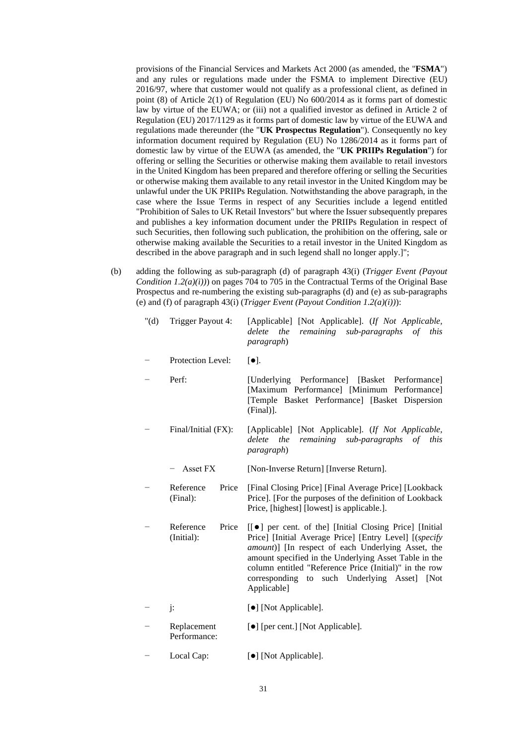provisions of the Financial Services and Markets Act 2000 (as amended, the "**FSMA**") and any rules or regulations made under the FSMA to implement Directive (EU) 2016/97, where that customer would not qualify as a professional client, as defined in point (8) of Article 2(1) of Regulation (EU) No 600/2014 as it forms part of domestic law by virtue of the EUWA; or (iii) not a qualified investor as defined in Article 2 of Regulation (EU) 2017/1129 as it forms part of domestic law by virtue of the EUWA and regulations made thereunder (the "**UK Prospectus Regulation**"). Consequently no key information document required by Regulation (EU) No 1286/2014 as it forms part of domestic law by virtue of the EUWA (as amended, the "**UK PRIIPs Regulation**") for offering or selling the Securities or otherwise making them available to retail investors in the United Kingdom has been prepared and therefore offering or selling the Securities or otherwise making them available to any retail investor in the United Kingdom may be unlawful under the UK PRIIPs Regulation. Notwithstanding the above paragraph, in the case where the Issue Terms in respect of any Securities include a legend entitled "Prohibition of Sales to UK Retail Investors" but where the Issuer subsequently prepares and publishes a key information document under the PRIIPs Regulation in respect of such Securities, then following such publication, the prohibition on the offering, sale or otherwise making available the Securities to a retail investor in the United Kingdom as described in the above paragraph and in such legend shall no longer apply.]";

(b) adding the following as sub-paragraph (d) of paragraph 43(i) (*Trigger Event (Payout Condition 1.2(a)(i))*) on pages 704 to 705 in the Contractual Terms of the Original Base Prospectus and re-numbering the existing sub-paragraphs (d) and (e) as sub-paragraphs (e) and (f) of paragraph 43(i) (*Trigger Event (Payout Condition 1.2(a)(i))*):

| " $(d)$ | Trigger Payout 4:                | [Applicable] [Not Applicable]. (If Not Applicable,<br>the<br>remaining<br>sub-paragraphs<br>$\sigma f$<br>delete<br>this<br><i>paragraph</i> )                                                                                                                                                                                                                          |
|---------|----------------------------------|-------------------------------------------------------------------------------------------------------------------------------------------------------------------------------------------------------------------------------------------------------------------------------------------------------------------------------------------------------------------------|
|         | <b>Protection Level:</b>         | $[\bullet]$ .                                                                                                                                                                                                                                                                                                                                                           |
|         | Perf:                            | [Underlying Performance] [Basket]<br>Performance<br>[Maximum Performance] [Minimum Performance]<br>[Temple Basket Performance] [Basket Dispersion<br>$(Final)$ ].                                                                                                                                                                                                       |
|         | Final/Initial (FX):              | [Applicable] [Not Applicable]. (If Not Applicable,<br>remaining<br>delete<br>the<br>sub-paragraphs<br>$\sigma f$<br>this<br>paragraph)                                                                                                                                                                                                                                  |
|         | Asset FX                         | [Non-Inverse Return] [Inverse Return].                                                                                                                                                                                                                                                                                                                                  |
|         | Reference<br>Price<br>(Final):   | [Final Closing Price] [Final Average Price] [Lookback]<br>Price]. [For the purposes of the definition of Lookback<br>Price, [highest] [lowest] is applicable.].                                                                                                                                                                                                         |
|         | Reference<br>Price<br>(Initial): | [[ $\bullet$ ] per cent. of the] [Initial Closing Price] [Initial]<br>Price] [Initial Average Price] [Entry Level] [(specify<br>amount)] [In respect of each Underlying Asset, the<br>amount specified in the Underlying Asset Table in the<br>column entitled "Reference Price (Initial)" in the row<br>corresponding<br>to such Underlying Asset] [Not<br>Applicable] |
|         | $\mathbf{j}$ :                   | [ $\bullet$ ] [Not Applicable].                                                                                                                                                                                                                                                                                                                                         |
|         | Replacement<br>Performance:      | [ $\bullet$ ] [per cent.] [Not Applicable].                                                                                                                                                                                                                                                                                                                             |

Local Cap:  $[●]$  [Not Applicable].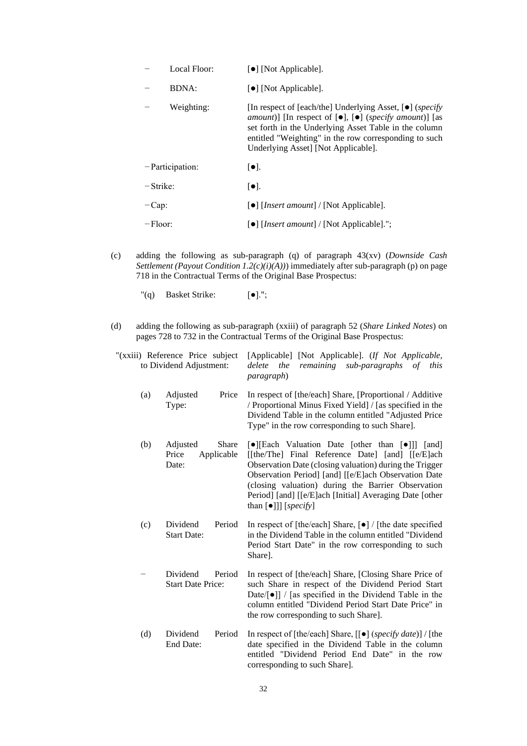|             | Local Floor:       | $\lceil \bullet \rceil$ [Not Applicable].                                                                                                                                                                                                                                                                                     |
|-------------|--------------------|-------------------------------------------------------------------------------------------------------------------------------------------------------------------------------------------------------------------------------------------------------------------------------------------------------------------------------|
|             | <b>BDNA:</b>       | $\lceil \bullet \rceil$ [Not Applicable].                                                                                                                                                                                                                                                                                     |
|             | Weighting:         | [In respect of [each/the] Underlying Asset, $\bullet$ ] ( <i>specify</i><br><i>amount</i> )] [In respect of $[\bullet]$ , $[\bullet]$ ( <i>specify amount</i> )] [as<br>set forth in the Underlying Asset Table in the column<br>entitled "Weighting" in the row corresponding to such<br>Underlying Asset] [Not Applicable]. |
|             | $-$ Participation: | $\lceil \bullet \rceil$ .                                                                                                                                                                                                                                                                                                     |
| $-$ Strike: |                    | $\lceil \bullet \rceil$ .                                                                                                                                                                                                                                                                                                     |
| $-Cap$      |                    | $\lceil \bullet \rceil$ [ <i>Insert amount</i> ] / [Not Applicable].                                                                                                                                                                                                                                                          |
| $-Floor$ :  |                    | [•] [ <i>Insert amount</i> ] / [Not Applicable].";                                                                                                                                                                                                                                                                            |

- (c) adding the following as sub-paragraph (q) of paragraph 43(xv) (*Downside Cash Settlement (Payout Condition 1.2(c)(i)(A))*) immediately after sub-paragraph (p) on page 718 in the Contractual Terms of the Original Base Prospectus:
	- "(q) Basket Strike: [●].";
- (d) adding the following as sub-paragraph (xxiii) of paragraph 52 (*Share Linked Notes*) on pages 728 to 732 in the Contractual Terms of the Original Base Prospectus:

|     | "(xxiii) Reference Price subject<br>to Dividend Adjustment: | [Applicable] [Not Applicable]. (If Not Applicable,<br>remaining<br>delete<br>the<br>sub-paragraphs of<br>this<br>paragraph)                                                                                                                                                                                                                                                         |  |
|-----|-------------------------------------------------------------|-------------------------------------------------------------------------------------------------------------------------------------------------------------------------------------------------------------------------------------------------------------------------------------------------------------------------------------------------------------------------------------|--|
| (a) | Price<br>Adjusted<br>Type:                                  | In respect of [the/each] Share, [Proportional / Additive<br>/ Proportional Minus Fixed Yield] / [as specified in the<br>Dividend Table in the column entitled "Adjusted Price<br>Type" in the row corresponding to such Share].                                                                                                                                                     |  |
| (b) | Adjusted<br><b>Share</b><br>Price<br>Applicable<br>Date:    | [•][Each Valuation Date [other than [•]]] [and]<br>[[the/The] Final Reference Date] [and] [[e/E]ach<br>Observation Date (closing valuation) during the Trigger<br>Observation Period] [and] [[e/E]ach Observation Date<br>(closing valuation) during the Barrier Observation<br>Period] [and] [[e/E]ach [Initial] Averaging Date [other<br>than $\lceil \bullet \rceil$ ] [specify] |  |
| (c) | Period<br>Dividend<br><b>Start Date:</b>                    | In respect of [the/each] Share, $\lceil \bullet \rceil$ / [the date specified<br>in the Dividend Table in the column entitled "Dividend"<br>Period Start Date" in the row corresponding to such<br>Share].                                                                                                                                                                          |  |
|     | Dividend<br>Period<br><b>Start Date Price:</b>              | In respect of [the/each] Share, [Closing Share Price of<br>such Share in respect of the Dividend Period Start<br>Date/ $\lceil \bullet \rceil$ / [as specified in the Dividend Table in the<br>column entitled "Dividend Period Start Date Price" in<br>the row corresponding to such Share].                                                                                       |  |
| (d) | Dividend<br>Period<br>End Date:                             | In respect of [the/each] Share, $[[\bullet]$ (specify date)] / [the<br>date specified in the Dividend Table in the column<br>entitled "Dividend Period End Date" in the row<br>corresponding to such Share].                                                                                                                                                                        |  |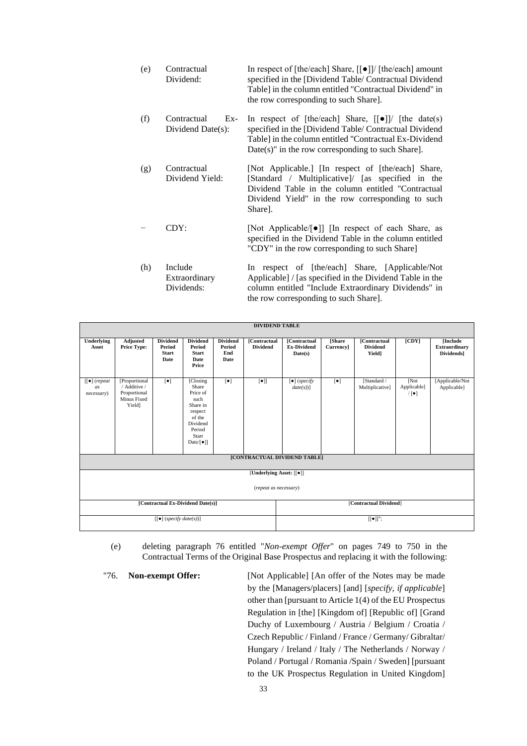- (e) Contractual Dividend: In respect of [the/each] Share, [[●]]/ [the/each] amount specified in the [Dividend Table/ Contractual Dividend Table] in the column entitled "Contractual Dividend" in the row corresponding to such Share].
- (f) Contractual Ex-Dividend Date(s): In respect of [the/each] Share, [[●]]/ [the date(s) specified in the [Dividend Table/ Contractual Dividend Table] in the column entitled "Contractual Ex-Dividend Date(s)" in the row corresponding to such Share].
- (g) Contractual Dividend Yield: [Not Applicable.] [In respect of [the/each] Share, [Standard / Multiplicative]/ [as specified in the Dividend Table in the column entitled "Contractual Dividend Yield" in the row corresponding to such Share].
	- − CDY: [Not Applicable/[●]] [In respect of each Share, as specified in the Dividend Table in the column entitled "CDY" in the row corresponding to such Share]
- (h) Include Extraordinary Dividends: In respect of [the/each] Share, [Applicable/Not Applicable] / [as specified in the Dividend Table in the column entitled "Include Extraordinary Dividends" in the row corresponding to such Share].

| <b>DIVIDEND TABLE</b>                    |                                                                        |                                                   |                                                                                                                             |                                          |                                   |                                                      |                           |                                                  |                              |                                                      |
|------------------------------------------|------------------------------------------------------------------------|---------------------------------------------------|-----------------------------------------------------------------------------------------------------------------------------|------------------------------------------|-----------------------------------|------------------------------------------------------|---------------------------|--------------------------------------------------|------------------------------|------------------------------------------------------|
| Underlying<br>Asset                      | Adjusted<br><b>Price Type:</b>                                         | <b>Dividend</b><br>Period<br><b>Start</b><br>Date | <b>Dividend</b><br>Period<br><b>Start</b><br>Date<br>Price                                                                  | <b>Dividend</b><br>Period<br>End<br>Date | [Contractual<br><b>Dividend</b>   | <b>[Contractual</b><br><b>Ex-Dividend</b><br>Date(s) | <b>Share</b><br>Currency] | <b>[Contractual</b><br><b>Dividend</b><br>Yield] | [CDY]                        | [Include<br><b>Extraordinary</b><br><b>Dividends</b> |
| $[[\bullet]$ (repeat<br>as<br>necessary) | [Proportional<br>/ Additive /<br>Proportional<br>Minus Fixed<br>Yield] | $\lceil \bullet \rceil$                           | [Closing]<br>Share<br>Price of<br>such<br>Share in<br>respect<br>of the<br>Dividend<br>Period<br>Start<br>Date/ $[\bullet]$ | $\lceil \bullet \rceil$                  | $\lbrack \bullet \rbrack \rbrack$ | $\lbrack \bullet \rbrack$ (specify<br>$date(s))$ ]   | $\lceil \bullet \rceil$   | [Standard /<br>Multiplicativel                   | [Not]<br>Applicable]<br>/[●] | [Applicable/Not<br>Applicable]                       |
| [CONTRACTUAL DIVIDEND TABLE]             |                                                                        |                                                   |                                                                                                                             |                                          |                                   |                                                      |                           |                                                  |                              |                                                      |
| [Underlying Asset: [[ $\bullet$ ]]       |                                                                        |                                                   |                                                                                                                             |                                          |                                   |                                                      |                           |                                                  |                              |                                                      |
| (repeat as necessary)                    |                                                                        |                                                   |                                                                                                                             |                                          |                                   |                                                      |                           |                                                  |                              |                                                      |
| [Contractual Ex-Dividend Date(s)]        |                                                                        |                                                   |                                                                                                                             |                                          |                                   | [Contractual Dividend]                               |                           |                                                  |                              |                                                      |
| $\lceil \cdot \rceil$ (specify date(s))] |                                                                        |                                                   |                                                                                                                             |                                          |                                   | $[[\bullet]]$ ";                                     |                           |                                                  |                              |                                                      |

(e) deleting paragraph 76 entitled "*Non-exempt Offer*" on pages 749 to 750 in the Contractual Terms of the Original Base Prospectus and replacing it with the following:

"76. **Non-exempt Offer:** [Not Applicable] [An offer of the Notes may be made by the [Managers/placers] [and] [*specify, if applicable*] other than [pursuant to Article 1(4) of the EU Prospectus Regulation in [the] [Kingdom of] [Republic of] [Grand Duchy of Luxembourg / Austria / Belgium / Croatia / Czech Republic / Finland / France / Germany/ Gibraltar/ Hungary / Ireland / Italy / The Netherlands / Norway / Poland / Portugal / Romania /Spain / Sweden] [pursuant to the UK Prospectus Regulation in United Kingdom]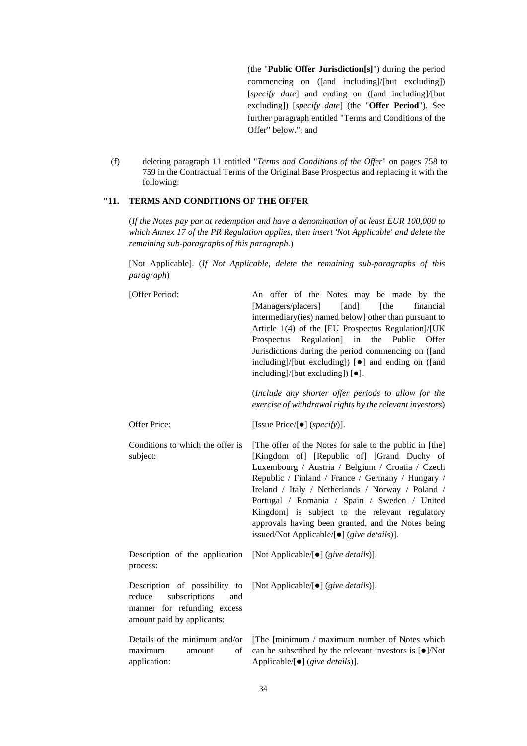(the "**Public Offer Jurisdiction[s]**") during the period commencing on ([and including]/[but excluding]) [*specify date*] and ending on ([and including]/[but excluding]) [*specify date*] (the "**Offer Period**"). See further paragraph entitled "Terms and Conditions of the Offer" below."; and

(f) deleting paragraph 11 entitled "*Terms and Conditions of the Offer*" on pages 758 to 759 in the Contractual Terms of the Original Base Prospectus and replacing it with the following:

# **"11. TERMS AND CONDITIONS OF THE OFFER**

(*If the Notes pay par at redemption and have a denomination of at least EUR 100,000 to which Annex 17 of the PR Regulation applies, then insert 'Not Applicable' and delete the remaining sub-paragraphs of this paragraph.*)

[Not Applicable]. (*If Not Applicable, delete the remaining sub-paragraphs of this paragraph*)

| [Offer Period:                                                                                                               | An offer of the Notes may be made by the<br>[Managers/placers]<br>[and]<br>[the<br>financial<br>intermediary(ies) named below] other than pursuant to<br>Article 1(4) of the [EU Prospectus Regulation]/[UK<br>Regulation]<br>in<br>the<br>Public<br>Prospectus<br>Offer<br>Jurisdictions during the period commencing on ([and<br>including]/[but excluding]) [ $\bullet$ ] and ending on ([and<br>including]/[but excluding]) [ $\bullet$ ].<br>(Include any shorter offer periods to allow for the<br>exercise of withdrawal rights by the relevant investors) |  |  |  |  |  |
|------------------------------------------------------------------------------------------------------------------------------|-------------------------------------------------------------------------------------------------------------------------------------------------------------------------------------------------------------------------------------------------------------------------------------------------------------------------------------------------------------------------------------------------------------------------------------------------------------------------------------------------------------------------------------------------------------------|--|--|--|--|--|
| Offer Price:                                                                                                                 | [Issue Price/ $\left[\bullet\right]$ (specify)].                                                                                                                                                                                                                                                                                                                                                                                                                                                                                                                  |  |  |  |  |  |
| Conditions to which the offer is<br>subject:                                                                                 | [The offer of the Notes for sale to the public in [the]<br>[Kingdom of] [Republic of] [Grand Duchy of<br>Luxembourg / Austria / Belgium / Croatia / Czech<br>Republic / Finland / France / Germany / Hungary /<br>Ireland / Italy / Netherlands / Norway / Poland /<br>Portugal / Romania / Spain / Sweden / United<br>Kingdom] is subject to the relevant regulatory<br>approvals having been granted, and the Notes being<br>issued/Not Applicable/[●] (give details)].                                                                                         |  |  |  |  |  |
| Description of the application<br>process:                                                                                   | [Not Applicable/[ $\bullet$ ] (give details)].                                                                                                                                                                                                                                                                                                                                                                                                                                                                                                                    |  |  |  |  |  |
| Description of possibility to<br>subscriptions<br>reduce<br>and<br>manner for refunding excess<br>amount paid by applicants: | [Not Applicable/ $[•]$ (give details)].                                                                                                                                                                                                                                                                                                                                                                                                                                                                                                                           |  |  |  |  |  |
| Details of the minimum and/or<br>maximum<br>of<br>amount<br>application:                                                     | [The [minimum / maximum number of Notes which]<br>can be subscribed by the relevant investors is $\lceil \bullet \rceil / \text{Not}$<br>Applicable/ $[•]$ (give details)].                                                                                                                                                                                                                                                                                                                                                                                       |  |  |  |  |  |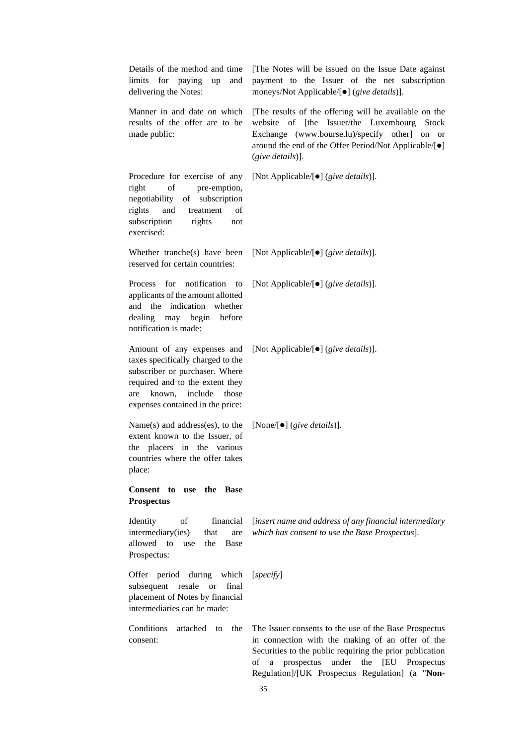| Details of the method and time<br>limits<br>for paying<br>up<br>and<br>delivering the Notes:                                                                                                                  | [The Notes will be issued on the Issue Date against<br>payment to the Issuer of the net subscription<br>moneys/Not Applicable/[ $\bullet$ ] (give details)].                                                                                                                        |  |  |  |  |  |
|---------------------------------------------------------------------------------------------------------------------------------------------------------------------------------------------------------------|-------------------------------------------------------------------------------------------------------------------------------------------------------------------------------------------------------------------------------------------------------------------------------------|--|--|--|--|--|
| Manner in and date on which<br>results of the offer are to be<br>made public:                                                                                                                                 | [The results of the offering will be available on the<br>of [the Issuer/the Luxembourg<br>website<br><b>Stock</b><br>Exchange (www.bourse.lu)/specify other] on or<br>around the end of the Offer Period/Not Applicable/[ $\bullet$ ]<br>$(give details)$ ].                        |  |  |  |  |  |
| Procedure for exercise of any<br>right<br>of<br>pre-emption,<br>negotiability<br>of subscription<br>and<br>rights<br>treatment<br>of<br>subscription<br>rights<br>not<br>exercised:                           | [Not Applicable/[ $\bullet$ ] (give details)].                                                                                                                                                                                                                                      |  |  |  |  |  |
| Whether tranche(s) have been<br>reserved for certain countries:                                                                                                                                               | [Not Applicable/[ $\bullet$ ] (give details)].                                                                                                                                                                                                                                      |  |  |  |  |  |
| for notification<br><b>Process</b><br>to<br>applicants of the amount allotted<br>and the indication whether<br>dealing may begin before<br>notification is made:                                              | [Not Applicable/[ $\bullet$ ] (give details)].                                                                                                                                                                                                                                      |  |  |  |  |  |
| Amount of any expenses and<br>taxes specifically charged to the<br>subscriber or purchaser. Where<br>required and to the extent they<br>known,<br>include<br>those<br>are<br>expenses contained in the price: | [Not Applicable/[ $\bullet$ ] (give details)].                                                                                                                                                                                                                                      |  |  |  |  |  |
| Name $(s)$ and address $(es)$ , to the<br>extent known to the Issuer, of<br>placers in the various<br>the<br>countries where the offer takes<br>place:                                                        | [None/[ $\bullet$ ] (give details)].                                                                                                                                                                                                                                                |  |  |  |  |  |
| Consent to use the Base<br><b>Prospectus</b>                                                                                                                                                                  |                                                                                                                                                                                                                                                                                     |  |  |  |  |  |
| financial<br>Identity<br>οf<br>intermediary(ies)<br>that<br>are<br>allowed<br>to<br>Base<br>the<br>use<br>Prospectus:                                                                                         | [insert name and address of any financial intermediary<br>which has consent to use the Base Prospectus].                                                                                                                                                                            |  |  |  |  |  |
| Offer<br>period<br>during<br>which<br>subsequent<br>resale<br>final<br><b>or</b><br>placement of Notes by financial<br>intermediaries can be made:                                                            | [specify]                                                                                                                                                                                                                                                                           |  |  |  |  |  |
| Conditions<br>attached<br>the<br>to<br>consent:                                                                                                                                                               | The Issuer consents to the use of the Base Prospectus<br>in connection with the making of an offer of the<br>Securities to the public requiring the prior publication<br>[EU Prospectus<br>prospectus<br>under<br>the<br>οf<br>a<br>Regulation]/[UK Prospectus Regulation] (a "Non- |  |  |  |  |  |

35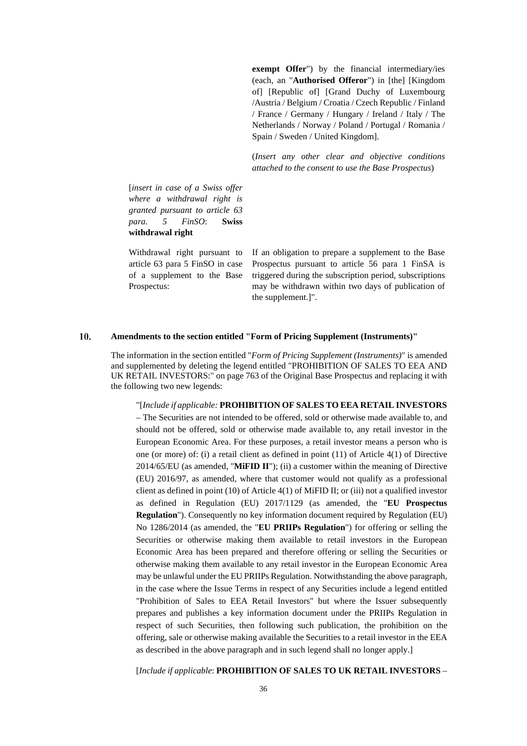**exempt Offer**") by the financial intermediary/ies (each, an "**Authorised Offeror**") in [the] [Kingdom of] [Republic of] [Grand Duchy of Luxembourg /Austria / Belgium / Croatia / Czech Republic / Finland / France / Germany / Hungary / Ireland / Italy / The Netherlands / Norway / Poland / Portugal / Romania / Spain / Sweden / United Kingdom].

(*Insert any other clear and objective conditions attached to the consent to use the Base Prospectus*)

[*insert in case of a Swiss offer where a withdrawal right is granted pursuant to article 63 para. 5 FinSO*: **Swiss withdrawal right**

Withdrawal right pursuant to article 63 para 5 FinSO in case of a supplement to the Base Prospectus:

If an obligation to prepare a supplement to the Base Prospectus pursuant to article 56 para 1 FinSA is triggered during the subscription period, subscriptions may be withdrawn within two days of publication of the supplement.]".

#### $10.$ **Amendments to the section entitled "Form of Pricing Supplement (Instruments)"**

The information in the section entitled "*Form of Pricing Supplement (Instruments)*" is amended and supplemented by deleting the legend entitled "PROHIBITION OF SALES TO EEA AND UK RETAIL INVESTORS:" on page 763 of the Original Base Prospectus and replacing it with the following two new legends:

"[*Include if applicable:* **PROHIBITION OF SALES TO EEA RETAIL INVESTORS** – The Securities are not intended to be offered, sold or otherwise made available to, and should not be offered, sold or otherwise made available to, any retail investor in the European Economic Area. For these purposes, a retail investor means a person who is one (or more) of: (i) a retail client as defined in point (11) of Article 4(1) of Directive 2014/65/EU (as amended, "**MiFID II**"); (ii) a customer within the meaning of Directive (EU) 2016/97, as amended, where that customer would not qualify as a professional client as defined in point (10) of Article 4(1) of MiFID II; or (iii) not a qualified investor as defined in Regulation (EU) 2017/1129 (as amended, the "**EU Prospectus Regulation**"). Consequently no key information document required by Regulation (EU) No 1286/2014 (as amended, the "**EU PRIIPs Regulation**") for offering or selling the Securities or otherwise making them available to retail investors in the European Economic Area has been prepared and therefore offering or selling the Securities or otherwise making them available to any retail investor in the European Economic Area may be unlawful under the EU PRIIPs Regulation. Notwithstanding the above paragraph, in the case where the Issue Terms in respect of any Securities include a legend entitled "Prohibition of Sales to EEA Retail Investors" but where the Issuer subsequently prepares and publishes a key information document under the PRIIPs Regulation in respect of such Securities, then following such publication, the prohibition on the offering, sale or otherwise making available the Securities to a retail investor in the EEA as described in the above paragraph and in such legend shall no longer apply.]

[*Include if applicable*: **PROHIBITION OF SALES TO UK RETAIL INVESTORS** –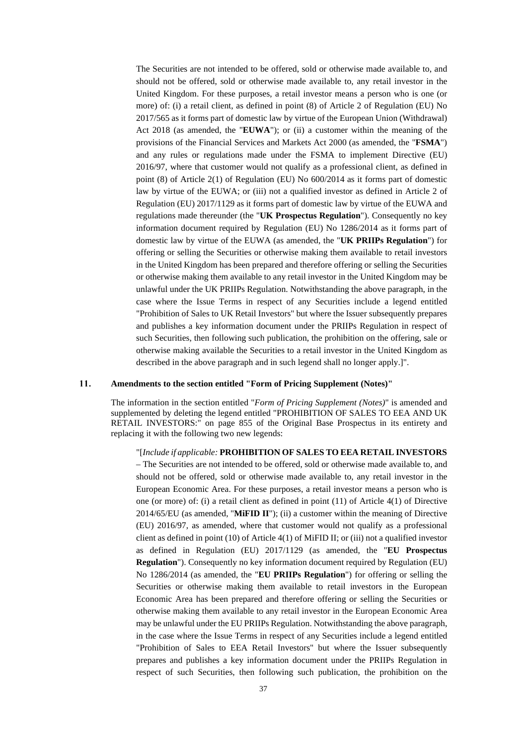The Securities are not intended to be offered, sold or otherwise made available to, and should not be offered, sold or otherwise made available to, any retail investor in the United Kingdom. For these purposes, a retail investor means a person who is one (or more) of: (i) a retail client, as defined in point (8) of Article 2 of Regulation (EU) No 2017/565 as it forms part of domestic law by virtue of the European Union (Withdrawal) Act 2018 (as amended, the "**EUWA**"); or (ii) a customer within the meaning of the provisions of the Financial Services and Markets Act 2000 (as amended, the "**FSMA**") and any rules or regulations made under the FSMA to implement Directive (EU) 2016/97, where that customer would not qualify as a professional client, as defined in point (8) of Article 2(1) of Regulation (EU) No 600/2014 as it forms part of domestic law by virtue of the EUWA; or (iii) not a qualified investor as defined in Article 2 of Regulation (EU) 2017/1129 as it forms part of domestic law by virtue of the EUWA and regulations made thereunder (the "**UK Prospectus Regulation**"). Consequently no key information document required by Regulation (EU) No 1286/2014 as it forms part of domestic law by virtue of the EUWA (as amended, the "**UK PRIIPs Regulation**") for offering or selling the Securities or otherwise making them available to retail investors in the United Kingdom has been prepared and therefore offering or selling the Securities or otherwise making them available to any retail investor in the United Kingdom may be unlawful under the UK PRIIPs Regulation. Notwithstanding the above paragraph, in the case where the Issue Terms in respect of any Securities include a legend entitled "Prohibition of Sales to UK Retail Investors" but where the Issuer subsequently prepares and publishes a key information document under the PRIIPs Regulation in respect of such Securities, then following such publication, the prohibition on the offering, sale or otherwise making available the Securities to a retail investor in the United Kingdom as described in the above paragraph and in such legend shall no longer apply.]".

#### 11. **Amendments to the section entitled "Form of Pricing Supplement (Notes)"**

The information in the section entitled "*Form of Pricing Supplement (Notes)*" is amended and supplemented by deleting the legend entitled "PROHIBITION OF SALES TO EEA AND UK RETAIL INVESTORS:" on page 855 of the Original Base Prospectus in its entirety and replacing it with the following two new legends:

#### "[*Include if applicable:* **PROHIBITION OF SALES TO EEA RETAIL INVESTORS**

– The Securities are not intended to be offered, sold or otherwise made available to, and should not be offered, sold or otherwise made available to, any retail investor in the European Economic Area. For these purposes, a retail investor means a person who is one (or more) of: (i) a retail client as defined in point (11) of Article 4(1) of Directive 2014/65/EU (as amended, "**MiFID II**"); (ii) a customer within the meaning of Directive (EU) 2016/97, as amended, where that customer would not qualify as a professional client as defined in point (10) of Article 4(1) of MiFID II; or (iii) not a qualified investor as defined in Regulation (EU) 2017/1129 (as amended, the "**EU Prospectus Regulation**"). Consequently no key information document required by Regulation (EU) No 1286/2014 (as amended, the "**EU PRIIPs Regulation**") for offering or selling the Securities or otherwise making them available to retail investors in the European Economic Area has been prepared and therefore offering or selling the Securities or otherwise making them available to any retail investor in the European Economic Area may be unlawful under the EU PRIIPs Regulation. Notwithstanding the above paragraph, in the case where the Issue Terms in respect of any Securities include a legend entitled "Prohibition of Sales to EEA Retail Investors" but where the Issuer subsequently prepares and publishes a key information document under the PRIIPs Regulation in respect of such Securities, then following such publication, the prohibition on the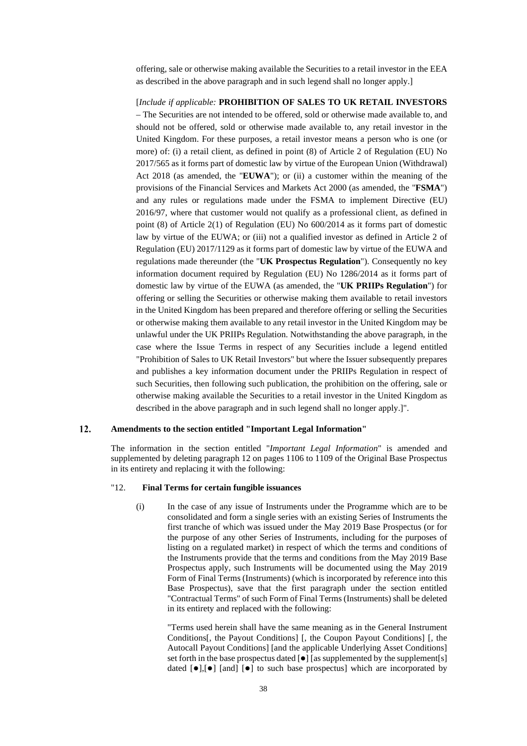offering, sale or otherwise making available the Securities to a retail investor in the EEA as described in the above paragraph and in such legend shall no longer apply.]

[*Include if applicable:* **PROHIBITION OF SALES TO UK RETAIL INVESTORS** – The Securities are not intended to be offered, sold or otherwise made available to, and should not be offered, sold or otherwise made available to, any retail investor in the United Kingdom. For these purposes, a retail investor means a person who is one (or more) of: (i) a retail client, as defined in point (8) of Article 2 of Regulation (EU) No 2017/565 as it forms part of domestic law by virtue of the European Union (Withdrawal) Act 2018 (as amended, the "**EUWA**"); or (ii) a customer within the meaning of the provisions of the Financial Services and Markets Act 2000 (as amended, the "**FSMA**") and any rules or regulations made under the FSMA to implement Directive (EU) 2016/97, where that customer would not qualify as a professional client, as defined in point (8) of Article 2(1) of Regulation (EU) No 600/2014 as it forms part of domestic law by virtue of the EUWA; or (iii) not a qualified investor as defined in Article 2 of Regulation (EU) 2017/1129 as it forms part of domestic law by virtue of the EUWA and regulations made thereunder (the "**UK Prospectus Regulation**"). Consequently no key information document required by Regulation (EU) No 1286/2014 as it forms part of domestic law by virtue of the EUWA (as amended, the "**UK PRIIPs Regulation**") for offering or selling the Securities or otherwise making them available to retail investors in the United Kingdom has been prepared and therefore offering or selling the Securities or otherwise making them available to any retail investor in the United Kingdom may be unlawful under the UK PRIIPs Regulation. Notwithstanding the above paragraph, in the case where the Issue Terms in respect of any Securities include a legend entitled "Prohibition of Sales to UK Retail Investors" but where the Issuer subsequently prepares and publishes a key information document under the PRIIPs Regulation in respect of such Securities, then following such publication, the prohibition on the offering, sale or otherwise making available the Securities to a retail investor in the United Kingdom as described in the above paragraph and in such legend shall no longer apply.]".

#### $12.$ **Amendments to the section entitled "Important Legal Information"**

The information in the section entitled "*Important Legal Information*" is amended and supplemented by deleting paragraph 12 on pages 1106 to 1109 of the Original Base Prospectus in its entirety and replacing it with the following:

## "12. **Final Terms for certain fungible issuances**

(i) In the case of any issue of Instruments under the Programme which are to be consolidated and form a single series with an existing Series of Instruments the first tranche of which was issued under the May 2019 Base Prospectus (or for the purpose of any other Series of Instruments, including for the purposes of listing on a regulated market) in respect of which the terms and conditions of the Instruments provide that the terms and conditions from the May 2019 Base Prospectus apply, such Instruments will be documented using the May 2019 Form of Final Terms (Instruments) (which is incorporated by reference into this Base Prospectus), save that the first paragraph under the section entitled "Contractual Terms" of such Form of Final Terms (Instruments) shall be deleted in its entirety and replaced with the following:

"Terms used herein shall have the same meaning as in the General Instrument Conditions[, the Payout Conditions] [, the Coupon Payout Conditions] [, the Autocall Payout Conditions] [and the applicable Underlying Asset Conditions] set forth in the base prospectus dated  $[\bullet]$  [as supplemented by the supplement[s] dated  $[\bullet]$ ,  $[\bullet]$  [and]  $[\bullet]$  to such base prospectus] which are incorporated by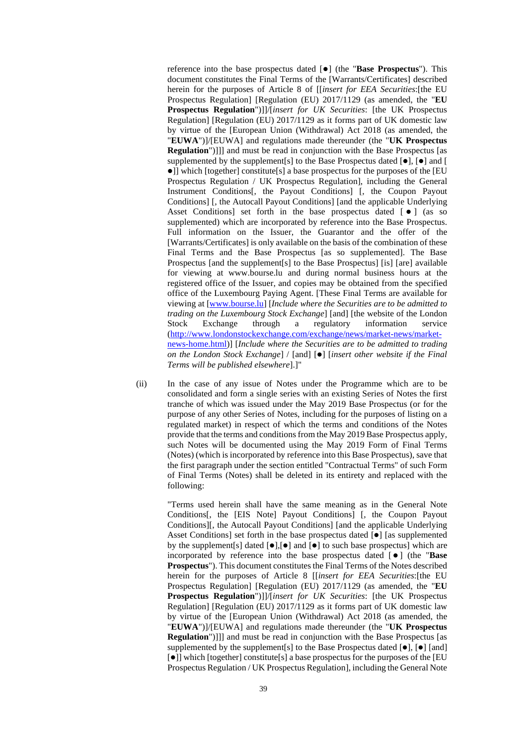reference into the base prospectus dated  $[\bullet]$  (the "**Base Prospectus**"). This document constitutes the Final Terms of the [Warrants/Certificates] described herein for the purposes of Article 8 of [[*insert for EEA Securities*:[the EU Prospectus Regulation] [Regulation (EU) 2017/1129 (as amended, the "**EU Prospectus Regulation**")]]/[*insert for UK Securities*: [the UK Prospectus Regulation] [Regulation (EU) 2017/1129 as it forms part of UK domestic law by virtue of the [European Union (Withdrawal) Act 2018 (as amended, the "**EUWA**")]/[EUWA] and regulations made thereunder (the "**UK Prospectus Regulation**")]]] and must be read in conjunction with the Base Prospectus [as supplemented by the supplement[s] to the Base Prospectus dated  $[\bullet]$ ,  $[\bullet]$  and  $[$ ]] which [together] constitute[s] a base prospectus for the purposes of the [EU Prospectus Regulation / UK Prospectus Regulation], including the General Instrument Conditions[, the Payout Conditions] [, the Coupon Payout Conditions] [, the Autocall Payout Conditions] [and the applicable Underlying Asset Conditions) set forth in the base prospectus dated  $\lceil \bullet \rceil$  (as so supplemented) which are incorporated by reference into the Base Prospectus. Full information on the Issuer, the Guarantor and the offer of the [Warrants/Certificates] is only available on the basis of the combination of these Final Terms and the Base Prospectus [as so supplemented]. The Base Prospectus [and the supplement[s] to the Base Prospectus] [is] [are] available for viewing at www.bourse.lu and during normal business hours at the registered office of the Issuer, and copies may be obtained from the specified office of the Luxembourg Paying Agent. [These Final Terms are available for viewing at [\[www.bourse.lu\]](http://www.bourse.lu/) [*Include where the Securities are to be admitted to trading on the Luxembourg Stock Exchange*] [and] [the website of the London Stock Exchange through a regulatory information service [\(http://www.londonstockexchange.com/exchange/news/market-news/market](http://www.londonstockexchange.com/exchange/news/market-news/market-news-home.html)[news-home.html\)](http://www.londonstockexchange.com/exchange/news/market-news/market-news-home.html)] [*Include where the Securities are to be admitted to trading on the London Stock Exchange*] / [and]  $[•]$  [*insert other website if the Final Terms will be published elsewhere*].]"

(ii) In the case of any issue of Notes under the Programme which are to be consolidated and form a single series with an existing Series of Notes the first tranche of which was issued under the May 2019 Base Prospectus (or for the purpose of any other Series of Notes, including for the purposes of listing on a regulated market) in respect of which the terms and conditions of the Notes provide that the terms and conditions from the May 2019 Base Prospectus apply, such Notes will be documented using the May 2019 Form of Final Terms (Notes) (which is incorporated by reference into this Base Prospectus), save that the first paragraph under the section entitled "Contractual Terms" of such Form of Final Terms (Notes) shall be deleted in its entirety and replaced with the following:

"Terms used herein shall have the same meaning as in the General Note Conditions[, the [EIS Note] Payout Conditions] [, the Coupon Payout Conditions][, the Autocall Payout Conditions] [and the applicable Underlying Asset Conditions] set forth in the base prospectus dated  $\lceil \bullet \rceil$  [as supplemented by the supplement[s] dated  $[\bullet]$ ,  $[\bullet]$  and  $[\bullet]$  to such base prospectus] which are incorporated by reference into the base prospectus dated [ ] (the "**Base Prospectus**"). This document constitutes the Final Terms of the Notes described herein for the purposes of Article 8 [[*insert for EEA Securities*:[the EU Prospectus Regulation] [Regulation (EU) 2017/1129 (as amended, the "**EU Prospectus Regulation**")]]/[*insert for UK Securities*: [the UK Prospectus Regulation] [Regulation (EU) 2017/1129 as it forms part of UK domestic law by virtue of the [European Union (Withdrawal) Act 2018 (as amended, the "**EUWA**")]/[EUWA] and regulations made thereunder (the "**UK Prospectus Regulation**")]]] and must be read in conjunction with the Base Prospectus [as supplemented by the supplement[s] to the Base Prospectus dated  $[\bullet]$ ,  $[\bullet]$  [and]  $\lceil \bullet \rceil$ ] which [together] constitute[s] a base prospectus for the purposes of the [EU Prospectus Regulation / UK Prospectus Regulation], including the General Note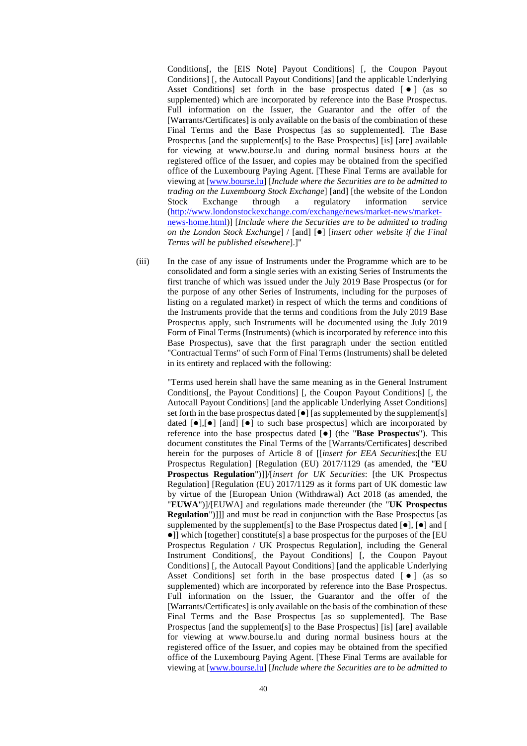Conditions[, the [EIS Note] Payout Conditions] [, the Coupon Payout Conditions] [, the Autocall Payout Conditions] [and the applicable Underlying Asset Conditions) set forth in the base prospectus dated  $\lceil \bullet \rceil$  (as so supplemented) which are incorporated by reference into the Base Prospectus. Full information on the Issuer, the Guarantor and the offer of the [Warrants/Certificates] is only available on the basis of the combination of these Final Terms and the Base Prospectus [as so supplemented]. The Base Prospectus [and the supplement[s] to the Base Prospectus] [is] [are] available for viewing at www.bourse.lu and during normal business hours at the registered office of the Issuer, and copies may be obtained from the specified office of the Luxembourg Paying Agent. [These Final Terms are available for viewing at [\[www.bourse.lu\]](http://www.bourse.lu/) [*Include where the Securities are to be admitted to trading on the Luxembourg Stock Exchange*] [and] [the website of the London Stock Exchange through a regulatory information service [\(http://www.londonstockexchange.com/exchange/news/market-news/market](http://www.londonstockexchange.com/exchange/news/market-news/market-news-home.html)[news-home.html\)](http://www.londonstockexchange.com/exchange/news/market-news/market-news-home.html)] [*Include where the Securities are to be admitted to trading on the London Stock Exchange*] / [and]  $[•]$  [*insert other website if the Final Terms will be published elsewhere*].]"

(iii) In the case of any issue of Instruments under the Programme which are to be consolidated and form a single series with an existing Series of Instruments the first tranche of which was issued under the July 2019 Base Prospectus (or for the purpose of any other Series of Instruments, including for the purposes of listing on a regulated market) in respect of which the terms and conditions of the Instruments provide that the terms and conditions from the July 2019 Base Prospectus apply, such Instruments will be documented using the July 2019 Form of Final Terms (Instruments) (which is incorporated by reference into this Base Prospectus), save that the first paragraph under the section entitled "Contractual Terms" of such Form of Final Terms (Instruments) shall be deleted in its entirety and replaced with the following:

"Terms used herein shall have the same meaning as in the General Instrument Conditions[, the Payout Conditions] [, the Coupon Payout Conditions] [, the Autocall Payout Conditions] [and the applicable Underlying Asset Conditions] set forth in the base prospectus dated  $\lceil \bullet \rceil$  [as supplemented by the supplement[s] dated  $\lceil \bullet \rceil$  [and]  $\lceil \bullet \rceil$  to such base prospectus] which are incorporated by reference into the base prospectus dated [ $\bullet$ ] (the "**Base Prospectus**"). This document constitutes the Final Terms of the [Warrants/Certificates] described herein for the purposes of Article 8 of [[*insert for EEA Securities*:[the EU Prospectus Regulation] [Regulation (EU) 2017/1129 (as amended, the "**EU Prospectus Regulation**")]]/[*insert for UK Securities*: [the UK Prospectus Regulation] [Regulation (EU) 2017/1129 as it forms part of UK domestic law by virtue of the [European Union (Withdrawal) Act 2018 (as amended, the "**EUWA**")]/[EUWA] and regulations made thereunder (the "**UK Prospectus Regulation**")]]] and must be read in conjunction with the Base Prospectus [as supplemented by the supplement[s] to the Base Prospectus dated  $[\bullet]$ ,  $[\bullet]$  and  $[$ ]] which [together] constitute[s] a base prospectus for the purposes of the [EU Prospectus Regulation / UK Prospectus Regulation], including the General Instrument Conditions[, the Payout Conditions] [, the Coupon Payout Conditions] [, the Autocall Payout Conditions] [and the applicable Underlying Asset Conditions) set forth in the base prospectus dated  $\lceil \bullet \rceil$  (as so supplemented) which are incorporated by reference into the Base Prospectus. Full information on the Issuer, the Guarantor and the offer of the [Warrants/Certificates] is only available on the basis of the combination of these Final Terms and the Base Prospectus [as so supplemented]. The Base Prospectus [and the supplement[s] to the Base Prospectus] [is] [are] available for viewing at www.bourse.lu and during normal business hours at the registered office of the Issuer, and copies may be obtained from the specified office of the Luxembourg Paying Agent. [These Final Terms are available for viewing at [\[www.bourse.lu\]](http://www.bourse.lu/) [*Include where the Securities are to be admitted to*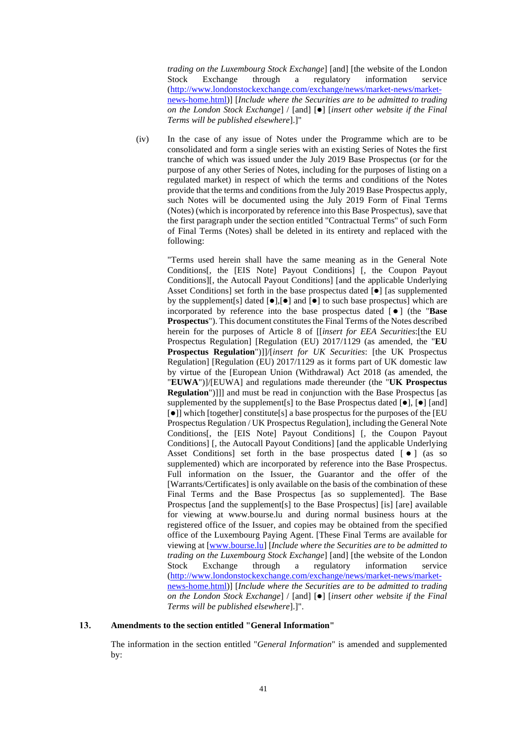*trading on the Luxembourg Stock Exchange*] [and] [the website of the London Stock Exchange through a regulatory information service [\(http://www.londonstockexchange.com/exchange/news/market-news/market](http://www.londonstockexchange.com/exchange/news/market-news/market-news-home.html)[news-home.html\)](http://www.londonstockexchange.com/exchange/news/market-news/market-news-home.html)] [*Include where the Securities are to be admitted to trading on the London Stock Exchange*] / [and]  $[•]$  [*insert other website if the Final Terms will be published elsewhere*].]"

(iv) In the case of any issue of Notes under the Programme which are to be consolidated and form a single series with an existing Series of Notes the first tranche of which was issued under the July 2019 Base Prospectus (or for the purpose of any other Series of Notes, including for the purposes of listing on a regulated market) in respect of which the terms and conditions of the Notes provide that the terms and conditions from the July 2019 Base Prospectus apply, such Notes will be documented using the July 2019 Form of Final Terms (Notes) (which is incorporated by reference into this Base Prospectus), save that the first paragraph under the section entitled "Contractual Terms" of such Form of Final Terms (Notes) shall be deleted in its entirety and replaced with the following:

"Terms used herein shall have the same meaning as in the General Note Conditions[, the [EIS Note] Payout Conditions] [, the Coupon Payout Conditions][, the Autocall Payout Conditions] [and the applicable Underlying Asset Conditions] set forth in the base prospectus dated  $\lceil \bullet \rceil$  [as supplemented by the supplement s dated  $\lceil \bullet \rceil$ ,  $\lceil \bullet \rceil$  and  $\lceil \bullet \rceil$  to such base prospectus which are incorporated by reference into the base prospectus dated [ $\bullet$ ] (the "**Base Prospectus**"). This document constitutes the Final Terms of the Notes described herein for the purposes of Article 8 of [[*insert for EEA Securities*:[the EU Prospectus Regulation] [Regulation (EU) 2017/1129 (as amended, the "**EU Prospectus Regulation**")]]/[*insert for UK Securities*: [the UK Prospectus Regulation] [Regulation (EU) 2017/1129 as it forms part of UK domestic law by virtue of the [European Union (Withdrawal) Act 2018 (as amended, the "**EUWA**")]/[EUWA] and regulations made thereunder (the "**UK Prospectus Regulation**")]]] and must be read in conjunction with the Base Prospectus [as supplemented by the supplement[s] to the Base Prospectus dated  $[\bullet]$ ,  $[\bullet]$  [and]  $\lceil \bullet \rceil$ ] which [together] constitute[s] a base prospectus for the purposes of the [EU Prospectus Regulation / UK Prospectus Regulation], including the General Note Conditions[, the [EIS Note] Payout Conditions] [, the Coupon Payout Conditions] [, the Autocall Payout Conditions] [and the applicable Underlying Asset Conditions] set forth in the base prospectus dated  $\lceil \bullet \rceil$  (as so supplemented) which are incorporated by reference into the Base Prospectus. Full information on the Issuer, the Guarantor and the offer of the [Warrants/Certificates] is only available on the basis of the combination of these Final Terms and the Base Prospectus [as so supplemented]. The Base Prospectus [and the supplement[s] to the Base Prospectus] [is] [are] available for viewing at www.bourse.lu and during normal business hours at the registered office of the Issuer, and copies may be obtained from the specified office of the Luxembourg Paying Agent. [These Final Terms are available for viewing at [\[www.bourse.lu\]](http://www.bourse.lu/) [*Include where the Securities are to be admitted to trading on the Luxembourg Stock Exchange*] [and] [the website of the London Stock Exchange through a regulatory information service [\(http://www.londonstockexchange.com/exchange/news/market-news/market](http://www.londonstockexchange.com/exchange/news/market-news/market-news-home.html)[news-home.html\)](http://www.londonstockexchange.com/exchange/news/market-news/market-news-home.html)] [*Include where the Securities are to be admitted to trading on the London Stock Exchange*] / [and]  $[•]$  [*insert other website if the Final Terms will be published elsewhere*].]".

#### 13. **Amendments to the section entitled "General Information"**

The information in the section entitled "*General Information*" is amended and supplemented by: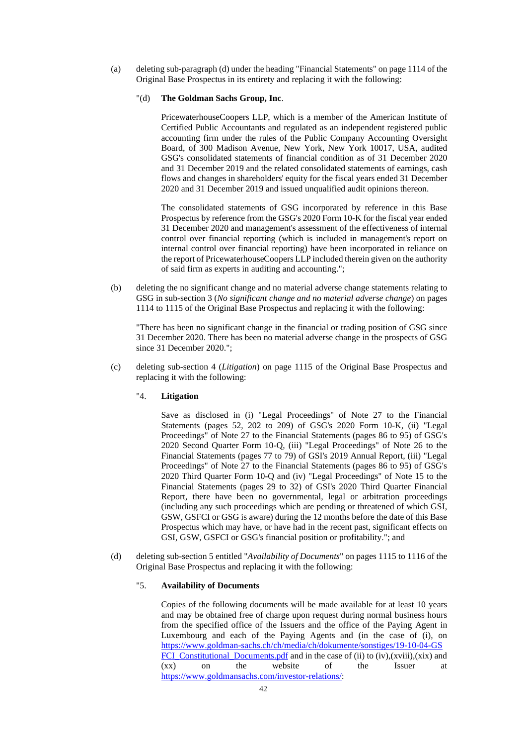(a) deleting sub-paragraph (d) under the heading "Financial Statements" on page 1114 of the Original Base Prospectus in its entirety and replacing it with the following:

### "(d) **The Goldman Sachs Group, Inc**.

PricewaterhouseCoopers LLP, which is a member of the American Institute of Certified Public Accountants and regulated as an independent registered public accounting firm under the rules of the Public Company Accounting Oversight Board, of 300 Madison Avenue, New York, New York 10017, USA, audited GSG's consolidated statements of financial condition as of 31 December 2020 and 31 December 2019 and the related consolidated statements of earnings, cash flows and changes in shareholders' equity for the fiscal years ended 31 December 2020 and 31 December 2019 and issued unqualified audit opinions thereon.

The consolidated statements of GSG incorporated by reference in this Base Prospectus by reference from the GSG's 2020 Form 10-K for the fiscal year ended 31 December 2020 and management's assessment of the effectiveness of internal control over financial reporting (which is included in management's report on internal control over financial reporting) have been incorporated in reliance on the report of PricewaterhouseCoopers LLP included therein given on the authority of said firm as experts in auditing and accounting.";

(b) deleting the no significant change and no material adverse change statements relating to GSG in sub-section 3 (*No significant change and no material adverse change*) on pages 1114 to 1115 of the Original Base Prospectus and replacing it with the following:

"There has been no significant change in the financial or trading position of GSG since 31 December 2020. There has been no material adverse change in the prospects of GSG since 31 December 2020.";

(c) deleting sub-section 4 (*Litigation*) on page 1115 of the Original Base Prospectus and replacing it with the following:

## "4. **Litigation**

Save as disclosed in (i) "Legal Proceedings" of Note 27 to the Financial Statements (pages 52, 202 to 209) of GSG's 2020 Form 10-K, (ii) "Legal Proceedings" of Note 27 to the Financial Statements (pages 86 to 95) of GSG's 2020 Second Quarter Form 10-Q, (iii) "Legal Proceedings" of Note 26 to the Financial Statements (pages 77 to 79) of GSI's 2019 Annual Report, (iii) "Legal Proceedings" of Note 27 to the Financial Statements (pages 86 to 95) of GSG's 2020 Third Quarter Form 10-Q and (iv) "Legal Proceedings" of Note 15 to the Financial Statements (pages 29 to 32) of GSI's 2020 Third Quarter Financial Report, there have been no governmental, legal or arbitration proceedings (including any such proceedings which are pending or threatened of which GSI, GSW, GSFCI or GSG is aware) during the 12 months before the date of this Base Prospectus which may have, or have had in the recent past, significant effects on GSI, GSW, GSFCI or GSG's financial position or profitability."; and

(d) deleting sub-section 5 entitled "*Availability of Documents*" on pages 1115 to 1116 of the Original Base Prospectus and replacing it with the following:

## "5. **Availability of Documents**

Copies of the following documents will be made available for at least 10 years and may be obtained free of charge upon request during normal business hours from the specified office of the Issuers and the office of the Paying Agent in Luxembourg and each of the Paying Agents and (in the case of (i), on [https://www.goldman-sachs.ch/ch/media/ch/dokumente/sonstiges/19-10-04-GS](https://www.goldmansachs.ch/ch/media/ch/dokumente/sonstiges/191004GSFCI_Constitutional_Documents.pdf) FCI Constitutional Documents.pdf and in the case of (ii) to (iv),(xviii),(xix) and (xx) on the website of the Issuer at [https://www.goldmansachs.com/investor-relations/:](https://www.goldmansachs.com/investorrelations/)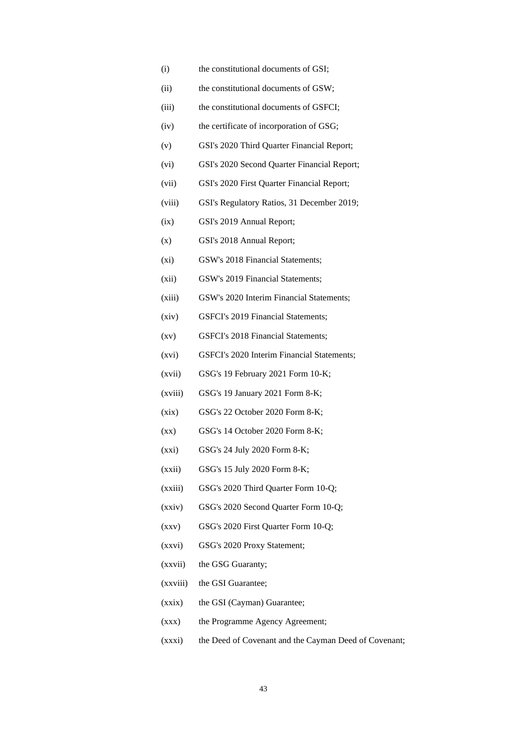- (i) the constitutional documents of GSI;
- (ii) the constitutional documents of GSW;
- (iii) the constitutional documents of GSFCI;
- (iv) the certificate of incorporation of GSG;
- (v) GSI's 2020 Third Quarter Financial Report;
- (vi) GSI's 2020 Second Quarter Financial Report;
- (vii) GSI's 2020 First Quarter Financial Report;
- (viii) GSI's Regulatory Ratios, 31 December 2019;
- (ix) GSI's 2019 Annual Report;
- (x) GSI's 2018 Annual Report;
- (xi) GSW's 2018 Financial Statements;
- (xii) GSW's 2019 Financial Statements;
- (xiii) GSW's 2020 Interim Financial Statements;
- (xiv) GSFCI's 2019 Financial Statements;
- (xv) GSFCI's 2018 Financial Statements;
- (xvi) GSFCI's 2020 Interim Financial Statements;
- (xvii) GSG's 19 February 2021 Form 10-K;
- (xviii) GSG's 19 January 2021 Form 8-K;
- (xix) GSG's 22 October 2020 Form 8-K;
- (xx) GSG's 14 October 2020 Form 8-K;
- (xxi) GSG's 24 July 2020 Form 8-K;
- (xxii) GSG's 15 July 2020 Form 8-K;
- (xxiii) GSG's 2020 Third Quarter Form 10-Q;
- (xxiv) GSG's 2020 Second Quarter Form 10-Q;
- (xxv) GSG's 2020 First Quarter Form 10-Q;
- (xxvi) GSG's 2020 Proxy Statement;
- (xxvii) the GSG Guaranty;
- (xxviii) the GSI Guarantee;
- (xxix) the GSI (Cayman) Guarantee;
- (xxx) the Programme Agency Agreement;
- (xxxi) the Deed of Covenant and the Cayman Deed of Covenant;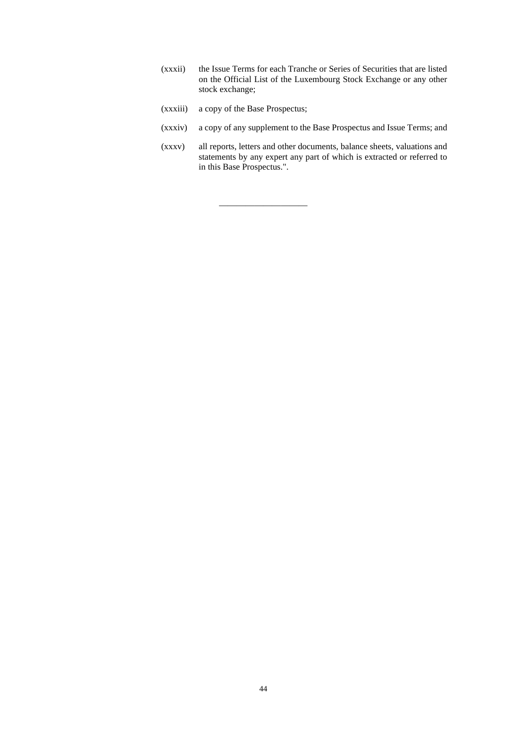- (xxxii) the Issue Terms for each Tranche or Series of Securities that are listed on the Official List of the Luxembourg Stock Exchange or any other stock exchange;
- (xxxiii) a copy of the Base Prospectus;

——————————

- (xxxiv) a copy of any supplement to the Base Prospectus and Issue Terms; and
- (xxxv) all reports, letters and other documents, balance sheets, valuations and statements by any expert any part of which is extracted or referred to in this Base Prospectus.".

44